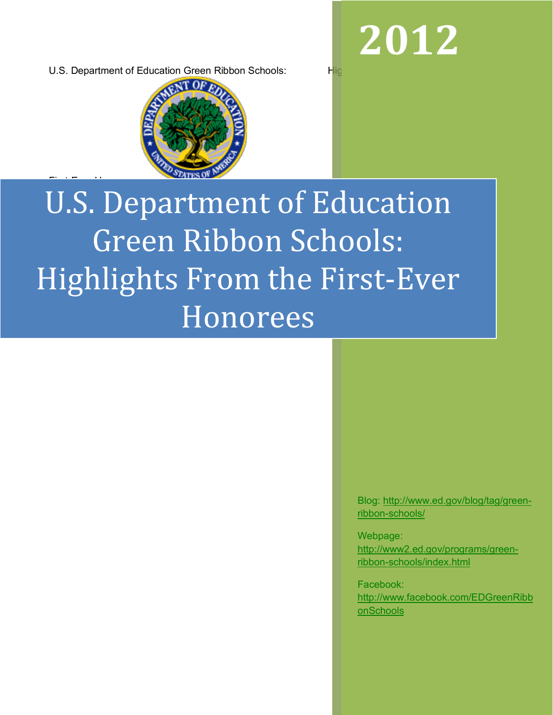**2012**

U.S. Department of Education Green Ribbon Schools: Highlights Allie

First-Ever Honorees



# U.S. Department of Education Green Ribbon Schools: Highlights From the First-Ever Honorees

Blog: http://www.ed.gov/blog/tag/greenribbon-schools/

Webpage: http://www2.ed.gov/programs/greenribbon-schools/index.html

Facebook: http://www.facebook.com/EDGreenRibb onSchools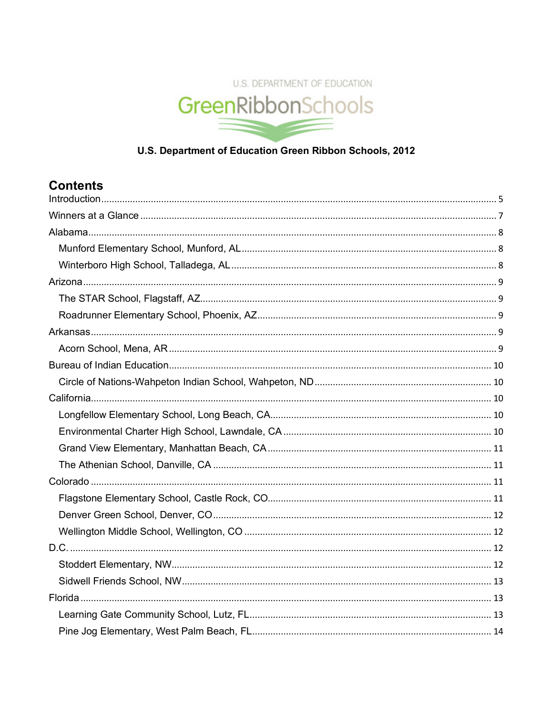

### U.S. Department of Education Green Ribbon Schools, 2012

# **Contents**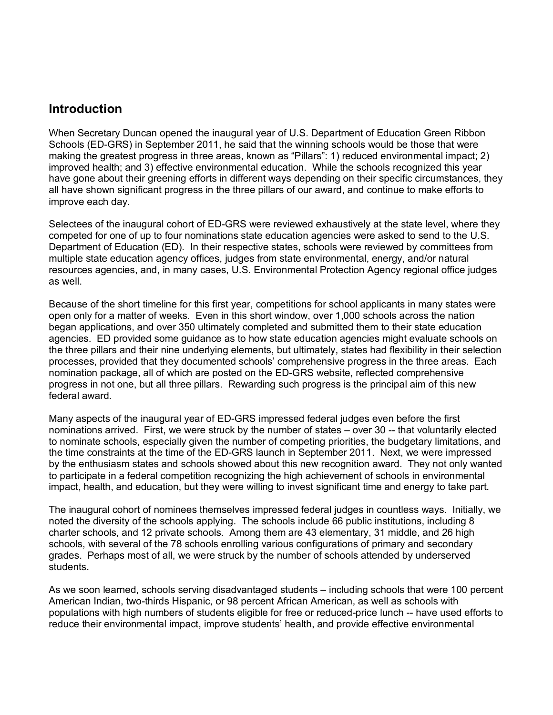## **Introduction**

When Secretary Duncan opened the inaugural year of U.S. Department of Education Green Ribbon Schools (ED-GRS) in September 2011, he said that the winning schools would be those that were making the greatest progress in three areas, known as "Pillars": 1) reduced environmental impact; 2) improved health; and 3) effective environmental education. While the schools recognized this year have gone about their greening efforts in different ways depending on their specific circumstances, they all have shown significant progress in the three pillars of our award, and continue to make efforts to improve each day.

Selectees of the inaugural cohort of ED-GRS were reviewed exhaustively at the state level, where they competed for one of up to four nominations state education agencies were asked to send to the U.S. Department of Education (ED). In their respective states, schools were reviewed by committees from multiple state education agency offices, judges from state environmental, energy, and/or natural resources agencies, and, in many cases, U.S. Environmental Protection Agency regional office judges as well.

Because of the short timeline for this first year, competitions for school applicants in many states were open only for a matter of weeks. Even in this short window, over 1,000 schools across the nation began applications, and over 350 ultimately completed and submitted them to their state education agencies. ED provided some guidance as to how state education agencies might evaluate schools on the three pillars and their nine underlying elements, but ultimately, states had flexibility in their selection processes, provided that they documented schools' comprehensive progress in the three areas. Each nomination package, all of which are posted on the ED-GRS website, reflected comprehensive progress in not one, but all three pillars. Rewarding such progress is the principal aim of this new federal award.

Many aspects of the inaugural year of ED-GRS impressed federal judges even before the first nominations arrived. First, we were struck by the number of states – over 30 -- that voluntarily elected to nominate schools, especially given the number of competing priorities, the budgetary limitations, and the time constraints at the time of the ED-GRS launch in September 2011. Next, we were impressed by the enthusiasm states and schools showed about this new recognition award. They not only wanted to participate in a federal competition recognizing the high achievement of schools in environmental impact, health, and education, but they were willing to invest significant time and energy to take part.

The inaugural cohort of nominees themselves impressed federal judges in countless ways. Initially, we noted the diversity of the schools applying. The schools include 66 public institutions, including 8 charter schools, and 12 private schools. Among them are 43 elementary, 31 middle, and 26 high schools, with several of the 78 schools enrolling various configurations of primary and secondary grades. Perhaps most of all, we were struck by the number of schools attended by underserved students.

As we soon learned, schools serving disadvantaged students – including schools that were 100 percent American Indian, two-thirds Hispanic, or 98 percent African American, as well as schools with populations with high numbers of students eligible for free or reduced-price lunch -- have used efforts to reduce their environmental impact, improve students' health, and provide effective environmental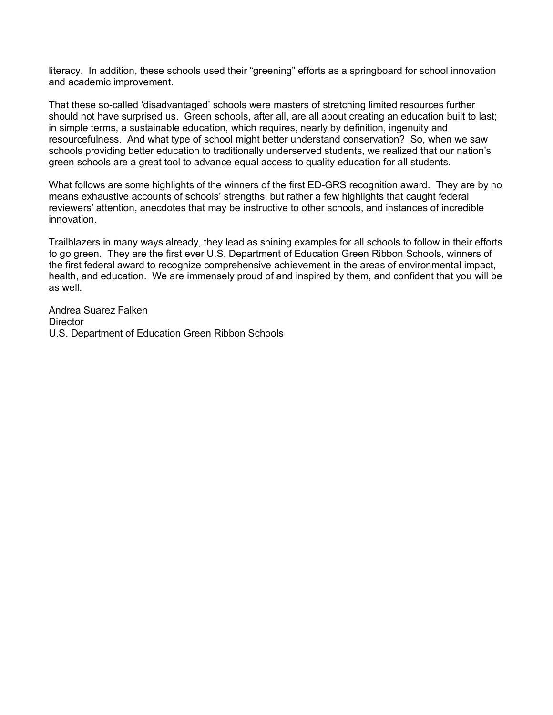literacy. In addition, these schools used their "greening" efforts as a springboard for school innovation and academic improvement.

That these so-called 'disadvantaged' schools were masters of stretching limited resources further should not have surprised us. Green schools, after all, are all about creating an education built to last; in simple terms, a sustainable education, which requires, nearly by definition, ingenuity and resourcefulness. And what type of school might better understand conservation? So, when we saw schools providing better education to traditionally underserved students, we realized that our nation's green schools are a great tool to advance equal access to quality education for all students.

What follows are some highlights of the winners of the first ED-GRS recognition award. They are by no means exhaustive accounts of schools' strengths, but rather a few highlights that caught federal reviewers' attention, anecdotes that may be instructive to other schools, and instances of incredible innovation.

Trailblazers in many ways already, they lead as shining examples for all schools to follow in their efforts to go green. They are the first ever U.S. Department of Education Green Ribbon Schools, winners of the first federal award to recognize comprehensive achievement in the areas of environmental impact, health, and education. We are immensely proud of and inspired by them, and confident that you will be as well.

Andrea Suarez Falken **Director** U.S. Department of Education Green Ribbon Schools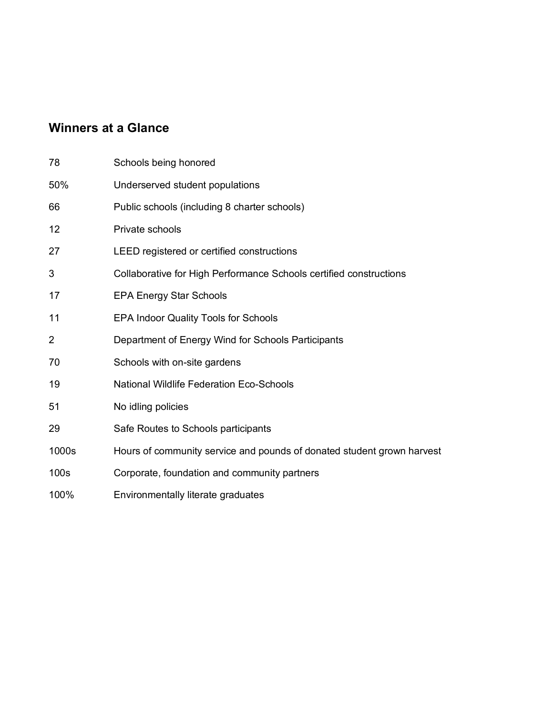# **Winners at a Glance**

| 78               | Schools being honored                                                  |
|------------------|------------------------------------------------------------------------|
| 50%              | Underserved student populations                                        |
| 66               | Public schools (including 8 charter schools)                           |
| 12               | Private schools                                                        |
| 27               | LEED registered or certified constructions                             |
| 3                | Collaborative for High Performance Schools certified constructions     |
| 17               | <b>EPA Energy Star Schools</b>                                         |
| 11               | <b>EPA Indoor Quality Tools for Schools</b>                            |
| $\overline{2}$   | Department of Energy Wind for Schools Participants                     |
| 70               | Schools with on-site gardens                                           |
| 19               | <b>National Wildlife Federation Eco-Schools</b>                        |
| 51               | No idling policies                                                     |
| 29               | Safe Routes to Schools participants                                    |
| 1000s            | Hours of community service and pounds of donated student grown harvest |
| 100 <sub>s</sub> | Corporate, foundation and community partners                           |
| 100%             | Environmentally literate graduates                                     |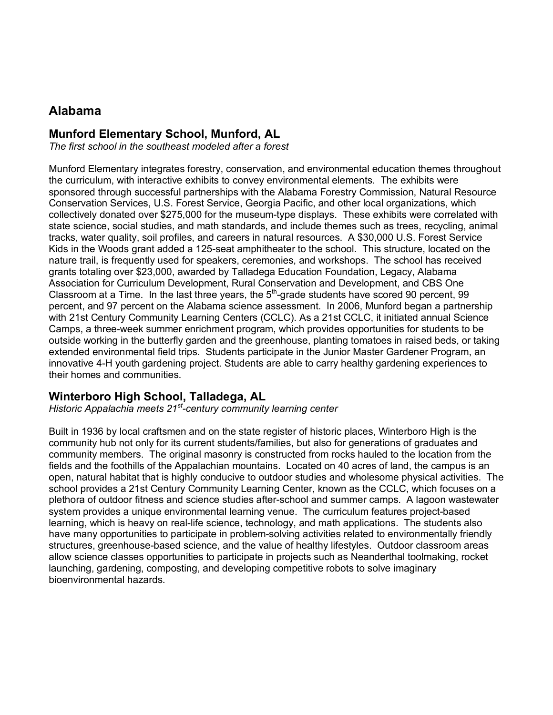# **Alabama**

#### **Munford Elementary School, Munford, AL**

*The first school in the southeast modeled after a forest*

Munford Elementary integrates forestry, conservation, and environmental education themes throughout the curriculum, with interactive exhibits to convey environmental elements. The exhibits were sponsored through successful partnerships with the Alabama Forestry Commission, Natural Resource Conservation Services, U.S. Forest Service, Georgia Pacific, and other local organizations, which collectively donated over \$275,000 for the museum-type displays. These exhibits were correlated with state science, social studies, and math standards, and include themes such as trees, recycling, animal tracks, water quality, soil profiles, and careers in natural resources. A \$30,000 U.S. Forest Service Kids in the Woods grant added a 125-seat amphitheater to the school. This structure, located on the nature trail, is frequently used for speakers, ceremonies, and workshops. The school has received grants totaling over \$23,000, awarded by Talladega Education Foundation, Legacy, Alabama Association for Curriculum Development, Rural Conservation and Development, and CBS One Classroom at a Time. In the last three years, the  $5<sup>th</sup>$ -grade students have scored 90 percent, 99 percent, and 97 percent on the Alabama science assessment. In 2006, Munford began a partnership with 21st Century Community Learning Centers (CCLC). As a 21st CCLC, it initiated annual Science Camps, a three-week summer enrichment program, which provides opportunities for students to be outside working in the butterfly garden and the greenhouse, planting tomatoes in raised beds, or taking extended environmental field trips. Students participate in the Junior Master Gardener Program, an innovative 4-H youth gardening project. Students are able to carry healthy gardening experiences to their homes and communities.

#### **Winterboro High School, Talladega, AL**

*Historic Appalachia meets 21st-century community learning center*

Built in 1936 by local craftsmen and on the state register of historic places, Winterboro High is the community hub not only for its current students/families, but also for generations of graduates and community members. The original masonry is constructed from rocks hauled to the location from the fields and the foothills of the Appalachian mountains. Located on 40 acres of land, the campus is an open, natural habitat that is highly conducive to outdoor studies and wholesome physical activities. The school provides a 21st Century Community Learning Center, known as the CCLC, which focuses on a plethora of outdoor fitness and science studies after-school and summer camps. A lagoon wastewater system provides a unique environmental learning venue. The curriculum features project-based learning, which is heavy on real-life science, technology, and math applications. The students also have many opportunities to participate in problem-solving activities related to environmentally friendly structures, greenhouse-based science, and the value of healthy lifestyles. Outdoor classroom areas allow science classes opportunities to participate in projects such as Neanderthal toolmaking, rocket launching, gardening, composting, and developing competitive robots to solve imaginary bioenvironmental hazards.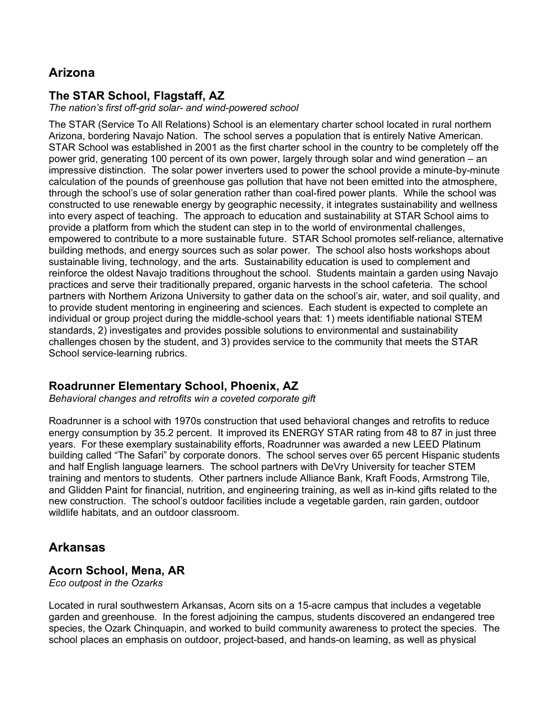# **Arizona**

### **The STAR School, Flagstaff, AZ**

*The nation's first off-grid solar- and wind-powered school* 

The STAR (Service To All Relations) School is an elementary charter school located in rural northern Arizona, bordering Navajo Nation. The school serves a population that is entirely Native American. STAR School was established in 2001 as the first charter school in the country to be completely off the power grid, generating 100 percent of its own power, largely through solar and wind generation – an impressive distinction. The solar power inverters used to power the school provide a minute-by-minute calculation of the pounds of greenhouse gas pollution that have not been emitted into the atmosphere, through the school's use of solar generation rather than coal-fired power plants. While the school was constructed to use renewable energy by geographic necessity, it integrates sustainability and wellness into every aspect of teaching. The approach to education and sustainability at STAR School aims to provide a platform from which the student can step in to the world of environmental challenges, empowered to contribute to a more sustainable future. STAR School promotes self-reliance, alternative building methods, and energy sources such as solar power. The school also hosts workshops about sustainable living, technology, and the arts. Sustainability education is used to complement and reinforce the oldest Navajo traditions throughout the school. Students maintain a garden using Navajo practices and serve their traditionally prepared, organic harvests in the school cafeteria. The school partners with Northern Arizona University to gather data on the school's air, water, and soil quality, and to provide student mentoring in engineering and sciences. Each student is expected to complete an individual or group project during the middle-school years that: 1) meets identifiable national STEM standards, 2) investigates and provides possible solutions to environmental and sustainability challenges chosen by the student, and 3) provides service to the community that meets the STAR School service-learning rubrics.

#### **Roadrunner Elementary School, Phoenix, AZ**

*Behavioral changes and retrofits win a coveted corporate gift*

Roadrunner is a school with 1970s construction that used behavioral changes and retrofits to reduce energy consumption by 35.2 percent. It improved its ENERGY STAR rating from 48 to 87 in just three years. For these exemplary sustainability efforts, Roadrunner was awarded a new LEED Platinum building called "The Safari" by corporate donors. The school serves over 65 percent Hispanic students and half English language learners. The school partners with DeVry University for teacher STEM training and mentors to students. Other partners include Alliance Bank, Kraft Foods, Armstrong Tile, and Glidden Paint for financial, nutrition, and engineering training, as well as in-kind gifts related to the new construction. The school's outdoor facilities include a vegetable garden, rain garden, outdoor wildlife habitats, and an outdoor classroom.

# **Arkansas**

#### **Acorn School, Mena, AR**

*Eco outpost in the Ozarks*

Located in rural southwestern Arkansas, Acorn sits on a 15-acre campus that includes a vegetable garden and greenhouse. In the forest adjoining the campus, students discovered an endangered tree species, the Ozark Chinquapin, and worked to build community awareness to protect the species. The school places an emphasis on outdoor, project-based, and hands-on learning, as well as physical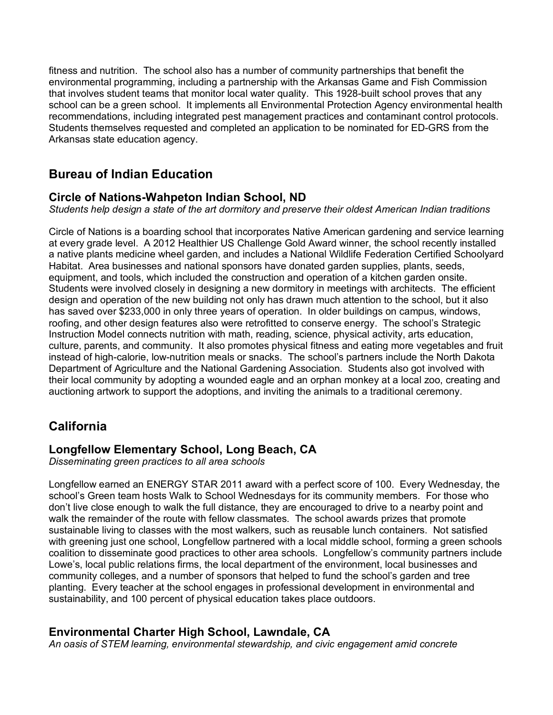fitness and nutrition. The school also has a number of community partnerships that benefit the environmental programming, including a partnership with the Arkansas Game and Fish Commission that involves student teams that monitor local water quality. This 1928-built school proves that any school can be a green school. It implements all Environmental Protection Agency environmental health recommendations, including integrated pest management practices and contaminant control protocols. Students themselves requested and completed an application to be nominated for ED-GRS from the Arkansas state education agency.

# **Bureau of Indian Education**

## **Circle of Nations-Wahpeton Indian School, ND**

*Students help design a state of the art dormitory and preserve their oldest American Indian traditions*

Circle of Nations is a boarding school that incorporates Native American gardening and service learning at every grade level. A 2012 Healthier US Challenge Gold Award winner, the school recently installed a native plants medicine wheel garden, and includes a National Wildlife Federation Certified Schoolyard Habitat. Area businesses and national sponsors have donated garden supplies, plants, seeds, equipment, and tools, which included the construction and operation of a kitchen garden onsite. Students were involved closely in designing a new dormitory in meetings with architects. The efficient design and operation of the new building not only has drawn much attention to the school, but it also has saved over \$233,000 in only three years of operation. In older buildings on campus, windows, roofing, and other design features also were retrofitted to conserve energy. The school's Strategic Instruction Model connects nutrition with math, reading, science, physical activity, arts education, culture, parents, and community. It also promotes physical fitness and eating more vegetables and fruit instead of high-calorie, low-nutrition meals or snacks. The school's partners include the North Dakota Department of Agriculture and the National Gardening Association. Students also got involved with their local community by adopting a wounded eagle and an orphan monkey at a local zoo, creating and auctioning artwork to support the adoptions, and inviting the animals to a traditional ceremony.

# **California**

#### **Longfellow Elementary School, Long Beach, CA**

*Disseminating green practices to all area schools*

Longfellow earned an ENERGY STAR 2011 award with a perfect score of 100. Every Wednesday, the school's Green team hosts Walk to School Wednesdays for its community members. For those who don't live close enough to walk the full distance, they are encouraged to drive to a nearby point and walk the remainder of the route with fellow classmates. The school awards prizes that promote sustainable living to classes with the most walkers, such as reusable lunch containers. Not satisfied with greening just one school, Longfellow partnered with a local middle school, forming a green schools coalition to disseminate good practices to other area schools. Longfellow's community partners include Lowe's, local public relations firms, the local department of the environment, local businesses and community colleges, and a number of sponsors that helped to fund the school's garden and tree planting. Every teacher at the school engages in professional development in environmental and sustainability, and 100 percent of physical education takes place outdoors.

# **Environmental Charter High School, Lawndale, CA**

*An oasis of STEM learning, environmental stewardship, and civic engagement amid concrete*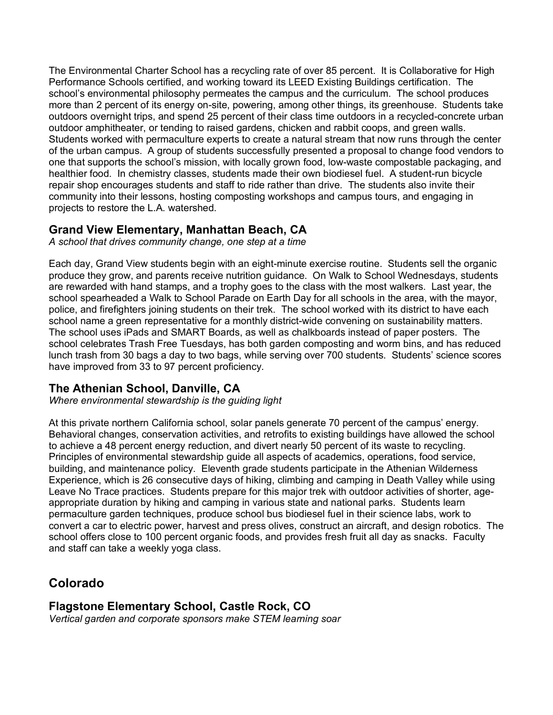The Environmental Charter School has a recycling rate of over 85 percent. It is Collaborative for High Performance Schools certified, and working toward its LEED Existing Buildings certification. The school's environmental philosophy permeates the campus and the curriculum. The school produces more than 2 percent of its energy on-site, powering, among other things, its greenhouse. Students take outdoors overnight trips, and spend 25 percent of their class time outdoors in a recycled-concrete urban outdoor amphitheater, or tending to raised gardens, chicken and rabbit coops, and green walls. Students worked with permaculture experts to create a natural stream that now runs through the center of the urban campus. A group of students successfully presented a proposal to change food vendors to one that supports the school's mission, with locally grown food, low-waste compostable packaging, and healthier food. In chemistry classes, students made their own biodiesel fuel. A student-run bicycle repair shop encourages students and staff to ride rather than drive. The students also invite their community into their lessons, hosting composting workshops and campus tours, and engaging in projects to restore the L.A. watershed.

#### **Grand View Elementary, Manhattan Beach, CA**

*A school that drives community change, one step at a time*

Each day, Grand View students begin with an eight-minute exercise routine. Students sell the organic produce they grow, and parents receive nutrition guidance. On Walk to School Wednesdays, students are rewarded with hand stamps, and a trophy goes to the class with the most walkers. Last year, the school spearheaded a Walk to School Parade on Earth Day for all schools in the area, with the mayor, police, and firefighters joining students on their trek. The school worked with its district to have each school name a green representative for a monthly district-wide convening on sustainability matters. The school uses iPads and SMART Boards, as well as chalkboards instead of paper posters. The school celebrates Trash Free Tuesdays, has both garden composting and worm bins, and has reduced lunch trash from 30 bags a day to two bags, while serving over 700 students. Students' science scores have improved from 33 to 97 percent proficiency.

#### **The Athenian School, Danville, CA**

*Where environmental stewardship is the guiding light*

At this private northern California school, solar panels generate 70 percent of the campus' energy. Behavioral changes, conservation activities, and retrofits to existing buildings have allowed the school to achieve a 48 percent energy reduction, and divert nearly 50 percent of its waste to recycling. Principles of environmental stewardship guide all aspects of academics, operations, food service, building, and maintenance policy. Eleventh grade students participate in the Athenian Wilderness Experience, which is 26 consecutive days of hiking, climbing and camping in Death Valley while using Leave No Trace practices. Students prepare for this major trek with outdoor activities of shorter, ageappropriate duration by hiking and camping in various state and national parks. Students learn permaculture garden techniques, produce school bus biodiesel fuel in their science labs, work to convert a car to electric power, harvest and press olives, construct an aircraft, and design robotics. The school offers close to 100 percent organic foods, and provides fresh fruit all day as snacks. Faculty and staff can take a weekly yoga class.

# **Colorado**

# **Flagstone Elementary School, Castle Rock, CO**

*Vertical garden and corporate sponsors make STEM learning soar*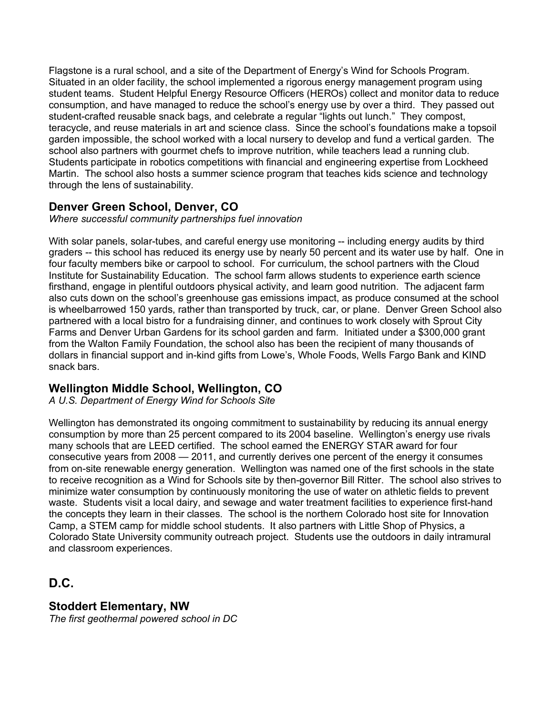Flagstone is a rural school, and a site of the Department of Energy's Wind for Schools Program. Situated in an older facility, the school implemented a rigorous energy management program using student teams. Student Helpful Energy Resource Officers (HEROs) collect and monitor data to reduce consumption, and have managed to reduce the school's energy use by over a third. They passed out student-crafted reusable snack bags, and celebrate a regular "lights out lunch." They compost, teracycle, and reuse materials in art and science class. Since the school's foundations make a topsoil garden impossible, the school worked with a local nursery to develop and fund a vertical garden. The school also partners with gourmet chefs to improve nutrition, while teachers lead a running club. Students participate in robotics competitions with financial and engineering expertise from Lockheed Martin. The school also hosts a summer science program that teaches kids science and technology through the lens of sustainability.

# **Denver Green School, Denver, CO**

*Where successful community partnerships fuel innovation*

With solar panels, solar-tubes, and careful energy use monitoring -- including energy audits by third graders -- this school has reduced its energy use by nearly 50 percent and its water use by half. One in four faculty members bike or carpool to school. For curriculum, the school partners with the Cloud Institute for Sustainability Education. The school farm allows students to experience earth science firsthand, engage in plentiful outdoors physical activity, and learn good nutrition. The adjacent farm also cuts down on the school's greenhouse gas emissions impact, as produce consumed at the school is wheelbarrowed 150 yards, rather than transported by truck, car, or plane. Denver Green School also partnered with a local bistro for a fundraising dinner, and continues to work closely with Sprout City Farms and Denver Urban Gardens for its school garden and farm. Initiated under a \$300,000 grant from the Walton Family Foundation, the school also has been the recipient of many thousands of dollars in financial support and in-kind gifts from Lowe's, Whole Foods, Wells Fargo Bank and KIND snack bars.

#### **Wellington Middle School, Wellington, CO**

*A U.S. Department of Energy Wind for Schools Site*

Wellington has demonstrated its ongoing commitment to sustainability by reducing its annual energy consumption by more than 25 percent compared to its 2004 baseline. Wellington's energy use rivals many schools that are LEED certified. The school earned the ENERGY STAR award for four consecutive years from 2008 — 2011, and currently derives one percent of the energy it consumes from on-site renewable energy generation. Wellington was named one of the first schools in the state to receive recognition as a Wind for Schools site by then-governor Bill Ritter. The school also strives to minimize water consumption by continuously monitoring the use of water on athletic fields to prevent waste. Students visit a local dairy, and sewage and water treatment facilities to experience first-hand the concepts they learn in their classes. The school is the northern Colorado host site for Innovation Camp, a STEM camp for middle school students. It also partners with Little Shop of Physics, a Colorado State University community outreach project. Students use the outdoors in daily intramural and classroom experiences.

**D.C.**

# **Stoddert Elementary, NW**

*The first geothermal powered school in DC*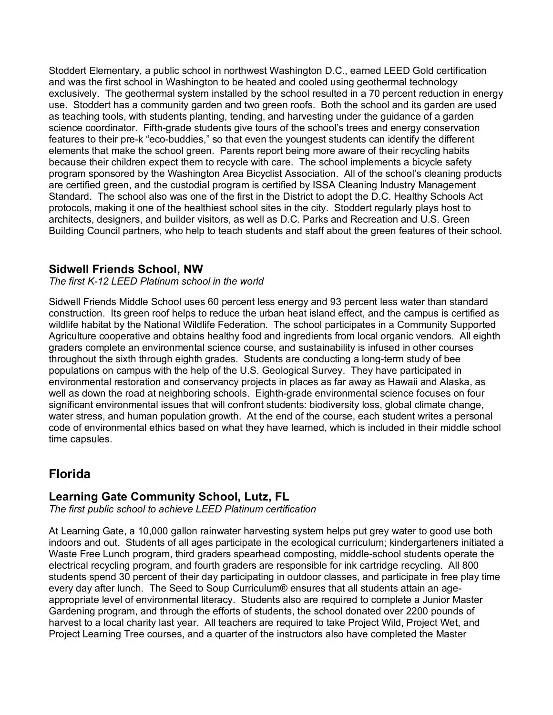Stoddert Elementary, a public school in northwest Washington D.C., earned LEED Gold certification and was the first school in Washington to be heated and cooled using geothermal technology exclusively. The geothermal system installed by the school resulted in a 70 percent reduction in energy use. Stoddert has a community garden and two green roofs. Both the school and its garden are used as teaching tools, with students planting, tending, and harvesting under the guidance of a garden science coordinator. Fifth-grade students give tours of the school's trees and energy conservation features to their pre-k "eco-buddies," so that even the youngest students can identify the different elements that make the school green. Parents report being more aware of their recycling habits because their children expect them to recycle with care. The school implements a bicycle safety program sponsored by the Washington Area Bicyclist Association. All of the school's cleaning products are certified green, and the custodial program is certified by ISSA Cleaning Industry Management Standard. The school also was one of the first in the District to adopt the D.C. Healthy Schools Act protocols, making it one of the healthiest school sites in the city. Stoddert regularly plays host to architects, designers, and builder visitors, as well as D.C. Parks and Recreation and U.S. Green Building Council partners, who help to teach students and staff about the green features of their school.

#### **Sidwell Friends School, NW**

*The first K-12 LEED Platinum school in the world*

Sidwell Friends Middle School uses 60 percent less energy and 93 percent less water than standard construction. Its green roof helps to reduce the urban heat island effect, and the campus is certified as wildlife habitat by the National Wildlife Federation. The school participates in a Community Supported Agriculture cooperative and obtains healthy food and ingredients from local organic vendors. All eighth graders complete an environmental science course, and sustainability is infused in other courses throughout the sixth through eighth grades. Students are conducting a long-term study of bee populations on campus with the help of the U.S. Geological Survey. They have participated in environmental restoration and conservancy projects in places as far away as Hawaii and Alaska, as well as down the road at neighboring schools. Eighth-grade environmental science focuses on four significant environmental issues that will confront students: biodiversity loss, global climate change, water stress, and human population growth. At the end of the course, each student writes a personal code of environmental ethics based on what they have learned, which is included in their middle school time capsules.

# **Florida**

#### **Learning Gate Community School, Lutz, FL**

*The first public school to achieve LEED Platinum certification*

At Learning Gate, a 10,000 gallon rainwater harvesting system helps put grey water to good use both indoors and out. Students of all ages participate in the ecological curriculum; kindergarteners initiated a Waste Free Lunch program, third graders spearhead composting, middle-school students operate the electrical recycling program, and fourth graders are responsible for ink cartridge recycling. All 800 students spend 30 percent of their day participating in outdoor classes, and participate in free play time every day after lunch. The Seed to Soup Curriculum® ensures that all students attain an ageappropriate level of environmental literacy. Students also are required to complete a Junior Master Gardening program, and through the efforts of students, the school donated over 2200 pounds of harvest to a local charity last year. All teachers are required to take Project Wild, Project Wet, and Project Learning Tree courses, and a quarter of the instructors also have completed the Master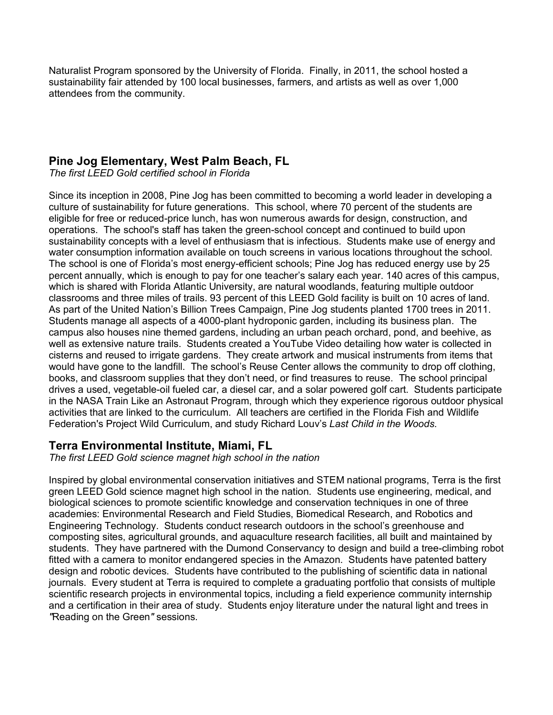Naturalist Program sponsored by the University of Florida. Finally, in 2011, the school hosted a sustainability fair attended by 100 local businesses, farmers, and artists as well as over 1,000 attendees from the community.

#### **Pine Jog Elementary, West Palm Beach, FL**

*The first LEED Gold certified school in Florida*

Since its inception in 2008, Pine Jog has been committed to becoming a world leader in developing a culture of sustainability for future generations. This school, where 70 percent of the students are eligible for free or reduced-price lunch, has won numerous awards for design, construction, and operations. The school's staff has taken the green-school concept and continued to build upon sustainability concepts with a level of enthusiasm that is infectious. Students make use of energy and water consumption information available on touch screens in various locations throughout the school. The school is one of Florida's most energy-efficient schools; Pine Jog has reduced energy use by 25 percent annually, which is enough to pay for one teacher's salary each year. 140 acres of this campus, which is shared with Florida Atlantic University, are natural woodlands, featuring multiple outdoor classrooms and three miles of trails. 93 percent of this LEED Gold facility is built on 10 acres of land. As part of the United Nation's Billion Trees Campaign, Pine Jog students planted 1700 trees in 2011. Students manage all aspects of a 4000-plant hydroponic garden, including its business plan. The campus also houses nine themed gardens, including an urban peach orchard, pond, and beehive, as well as extensive nature trails. Students created a YouTube Video detailing how water is collected in cisterns and reused to irrigate gardens. They create artwork and musical instruments from items that would have gone to the landfill. The school's Reuse Center allows the community to drop off clothing, books, and classroom supplies that they don't need, or find treasures to reuse. The school principal drives a used, vegetable-oil fueled car, a diesel car, and a solar powered golf cart. Students participate in the NASA Train Like an Astronaut Program, through which they experience rigorous outdoor physical activities that are linked to the curriculum. All teachers are certified in the Florida Fish and Wildlife Federation's Project Wild Curriculum, and study Richard Louv's *Last Child in the Woods*.

#### **Terra Environmental Institute, Miami, FL**

*The first LEED Gold science magnet high school in the nation* 

Inspired by global environmental conservation initiatives and STEM national programs, Terra is the first green LEED Gold science magnet high school in the nation. Students use engineering, medical, and biological sciences to promote scientific knowledge and conservation techniques in one of three academies: Environmental Research and Field Studies, Biomedical Research, and Robotics and Engineering Technology. Students conduct research outdoors in the school's greenhouse and composting sites, agricultural grounds, and aquaculture research facilities, all built and maintained by students. They have partnered with the Dumond Conservancy to design and build a tree-climbing robot fitted with a camera to monitor endangered species in the Amazon. Students have patented battery design and robotic devices. Students have contributed to the publishing of scientific data in national journals. Every student at Terra is required to complete a graduating portfolio that consists of multiple scientific research projects in environmental topics, including a field experience community internship and a certification in their area of study. Students enjoy literature under the natural light and trees in *"*Reading on the Green*"* sessions.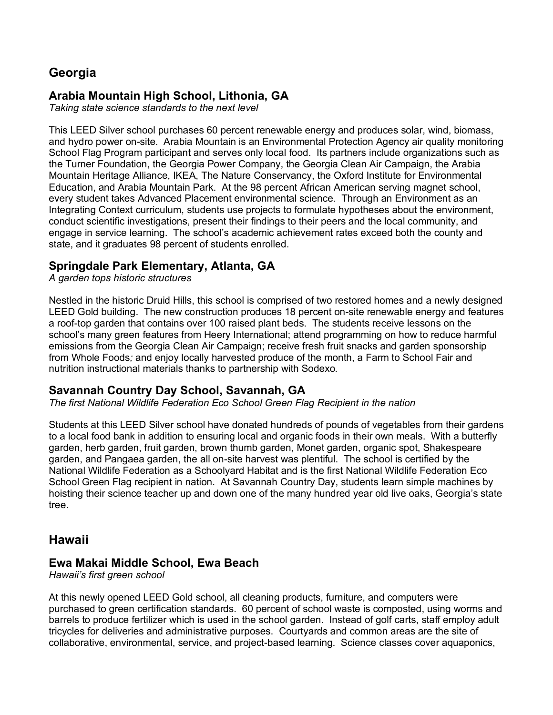# **Georgia**

#### **Arabia Mountain High School, Lithonia, GA**

*Taking state science standards to the next level*

This LEED Silver school purchases 60 percent renewable energy and produces solar, wind, biomass, and hydro power on-site. Arabia Mountain is an Environmental Protection Agency air quality monitoring School Flag Program participant and serves only local food. Its partners include organizations such as the Turner Foundation, the Georgia Power Company, the Georgia Clean Air Campaign, the Arabia Mountain Heritage Alliance, IKEA, The Nature Conservancy, the Oxford Institute for Environmental Education, and Arabia Mountain Park. At the 98 percent African American serving magnet school, every student takes Advanced Placement environmental science. Through an Environment as an Integrating Context curriculum, students use projects to formulate hypotheses about the environment, conduct scientific investigations, present their findings to their peers and the local community, and engage in service learning. The school's academic achievement rates exceed both the county and state, and it graduates 98 percent of students enrolled.

#### **Springdale Park Elementary, Atlanta, GA**

*A garden tops historic structures*

Nestled in the historic Druid Hills, this school is comprised of two restored homes and a newly designed LEED Gold building. The new construction produces 18 percent on-site renewable energy and features a roof-top garden that contains over 100 raised plant beds. The students receive lessons on the school's many green features from Heery International; attend programming on how to reduce harmful emissions from the Georgia Clean Air Campaign; receive fresh fruit snacks and garden sponsorship from Whole Foods*;* and enjoy locally harvested produce of the month, a Farm to School Fair and nutrition instructional materials thanks to partnership with Sodexo*.*

#### **Savannah Country Day School, Savannah, GA**

*The first National Wildlife Federation Eco School Green Flag Recipient in the nation*

Students at this LEED Silver school have donated hundreds of pounds of vegetables from their gardens to a local food bank in addition to ensuring local and organic foods in their own meals. With a butterfly garden, herb garden, fruit garden, brown thumb garden, Monet garden, organic spot, Shakespeare garden, and Pangaea garden, the all on-site harvest was plentiful. The school is certified by the National Wildlife Federation as a Schoolyard Habitat and is the first National Wildlife Federation Eco School Green Flag recipient in nation. At Savannah Country Day, students learn simple machines by hoisting their science teacher up and down one of the many hundred year old live oaks, Georgia's state tree.

#### **Hawaii**

#### **Ewa Makai Middle School, Ewa Beach**

*Hawaii's first green school*

At this newly opened LEED Gold school, all cleaning products, furniture, and computers were purchased to green certification standards. 60 percent of school waste is composted, using worms and barrels to produce fertilizer which is used in the school garden. Instead of golf carts, staff employ adult tricycles for deliveries and administrative purposes. Courtyards and common areas are the site of collaborative, environmental, service, and project-based learning. Science classes cover aquaponics,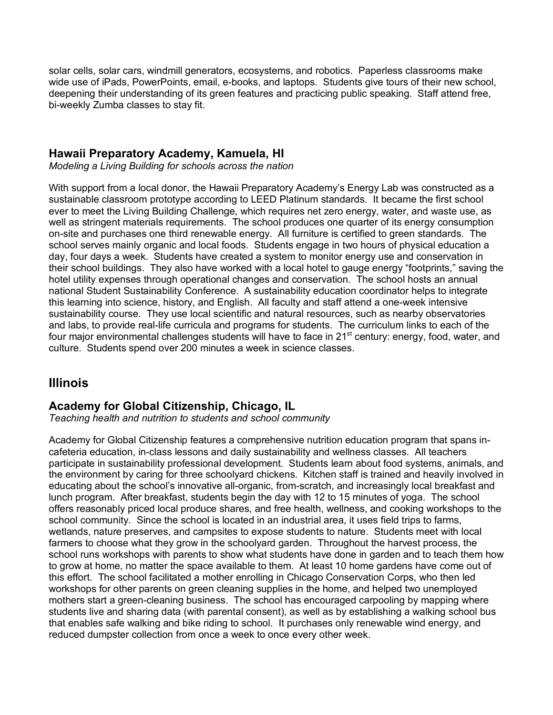solar cells, solar cars, windmill generators, ecosystems, and robotics. Paperless classrooms make wide use of iPads, PowerPoints, email, e-books, and laptops. Students give tours of their new school, deepening their understanding of its green features and practicing public speaking. Staff attend free, bi-weekly Zumba classes to stay fit.

#### **Hawaii Preparatory Academy, Kamuela, HI**

*Modeling a Living Building for schools across the nation* 

With support from a local donor, the Hawaii Preparatory Academy's Energy Lab was constructed as a sustainable classroom prototype according to LEED Platinum standards. It became the first school ever to meet the Living Building Challenge, which requires net zero energy, water, and waste use, as well as stringent materials requirements. The school produces one quarter of its energy consumption on-site and purchases one third renewable energy. All furniture is certified to green standards. The school serves mainly organic and local foods. Students engage in two hours of physical education a day, four days a week. Students have created a system to monitor energy use and conservation in their school buildings. They also have worked with a local hotel to gauge energy "footprints," saving the hotel utility expenses through operational changes and conservation. The school hosts an annual national Student Sustainability Conference. A sustainability education coordinator helps to integrate this learning into science, history, and English. All faculty and staff attend a one-week intensive sustainability course. They use local scientific and natural resources, such as nearby observatories and labs, to provide real-life curricula and programs for students. The curriculum links to each of the four major environmental challenges students will have to face in 21<sup>st</sup> century: energy, food, water, and culture. Students spend over 200 minutes a week in science classes.

# **Illinois**

#### **Academy for Global Citizenship, Chicago, IL**

*Teaching health and nutrition to students and school community*

Academy for Global Citizenship features a comprehensive nutrition education program that spans incafeteria education, in-class lessons and daily sustainability and wellness classes. All teachers participate in sustainability professional development. Students learn about food systems, animals, and the environment by caring for three schoolyard chickens. Kitchen staff is trained and heavily involved in educating about the school's innovative all-organic, from-scratch, and increasingly local breakfast and lunch program. After breakfast, students begin the day with 12 to 15 minutes of yoga. The school offers reasonably priced local produce shares, and free health, wellness, and cooking workshops to the school community. Since the school is located in an industrial area, it uses field trips to farms, wetlands, nature preserves, and campsites to expose students to nature. Students meet with local farmers to choose what they grow in the schoolyard garden. Throughout the harvest process, the school runs workshops with parents to show what students have done in garden and to teach them how to grow at home, no matter the space available to them. At least 10 home gardens have come out of this effort. The school facilitated a mother enrolling in Chicago Conservation Corps, who then led workshops for other parents on green cleaning supplies in the home, and helped two unemployed mothers start a green-cleaning business. The school has encouraged carpooling by mapping where students live and sharing data (with parental consent), as well as by establishing a walking school bus that enables safe walking and bike riding to school. It purchases only renewable wind energy, and reduced dumpster collection from once a week to once every other week.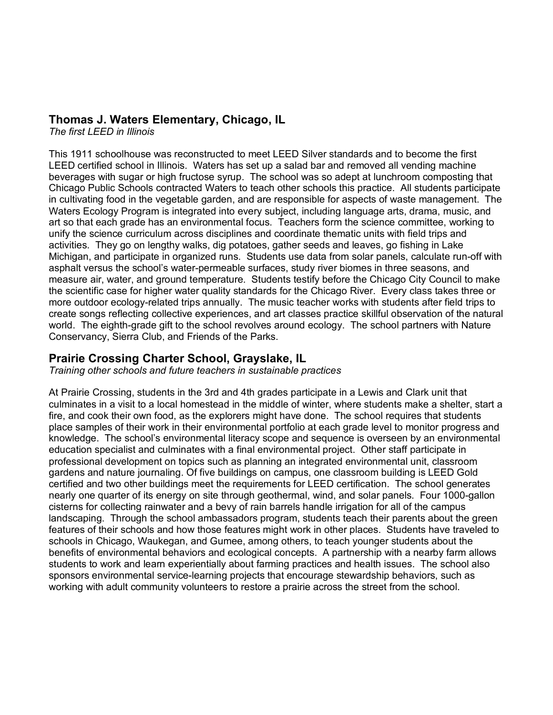#### **Thomas J. Waters Elementary, Chicago, IL**

*The first LEED in Illinois*

This 1911 schoolhouse was reconstructed to meet LEED Silver standards and to become the first LEED certified school in Illinois. Waters has set up a salad bar and removed all vending machine beverages with sugar or high fructose syrup. The school was so adept at lunchroom composting that Chicago Public Schools contracted Waters to teach other schools this practice. All students participate in cultivating food in the vegetable garden, and are responsible for aspects of waste management. The Waters Ecology Program is integrated into every subject, including language arts, drama, music, and art so that each grade has an environmental focus. Teachers form the science committee, working to unify the science curriculum across disciplines and coordinate thematic units with field trips and activities. They go on lengthy walks, dig potatoes, gather seeds and leaves, go fishing in Lake Michigan, and participate in organized runs. Students use data from solar panels, calculate run-off with asphalt versus the school's water-permeable surfaces, study river biomes in three seasons, and measure air, water, and ground temperature. Students testify before the Chicago City Council to make the scientific case for higher water quality standards for the Chicago River. Every class takes three or more outdoor ecology-related trips annually. The music teacher works with students after field trips to create songs reflecting collective experiences, and art classes practice skillful observation of the natural world. The eighth-grade gift to the school revolves around ecology. The school partners with Nature Conservancy, Sierra Club, and Friends of the Parks.

#### **Prairie Crossing Charter School, Grayslake, IL**

*Training other schools and future teachers in sustainable practices*

At Prairie Crossing, students in the 3rd and 4th grades participate in a Lewis and Clark unit that culminates in a visit to a local homestead in the middle of winter, where students make a shelter, start a fire, and cook their own food, as the explorers might have done. The school requires that students place samples of their work in their environmental portfolio at each grade level to monitor progress and knowledge. The school's environmental literacy scope and sequence is overseen by an environmental education specialist and culminates with a final environmental project. Other staff participate in professional development on topics such as planning an integrated environmental unit, classroom gardens and nature journaling. Of five buildings on campus, one classroom building is LEED Gold certified and two other buildings meet the requirements for LEED certification. The school generates nearly one quarter of its energy on site through geothermal, wind, and solar panels. Four 1000-gallon cisterns for collecting rainwater and a bevy of rain barrels handle irrigation for all of the campus landscaping. Through the school ambassadors program, students teach their parents about the green features of their schools and how those features might work in other places. Students have traveled to schools in Chicago, Waukegan, and Gumee, among others, to teach younger students about the benefits of environmental behaviors and ecological concepts. A partnership with a nearby farm allows students to work and learn experientially about farming practices and health issues. The school also sponsors environmental service-learning projects that encourage stewardship behaviors, such as working with adult community volunteers to restore a prairie across the street from the school.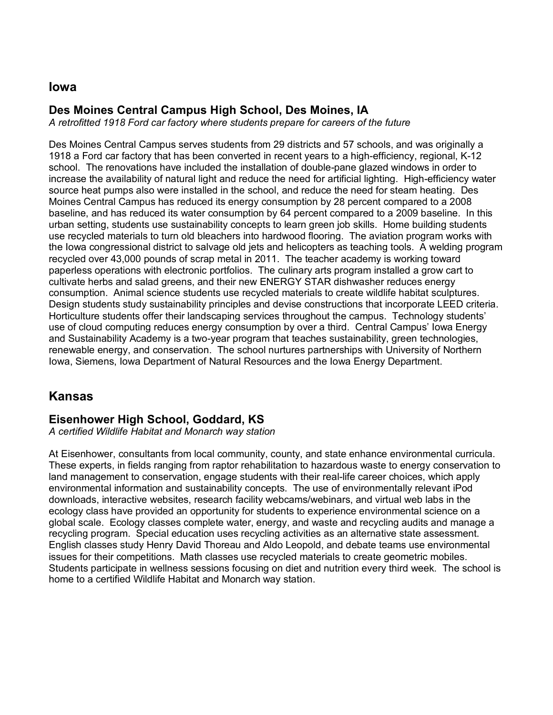#### **Iowa**

### **Des Moines Central Campus High School, Des Moines, IA**

*A retrofitted 1918 Ford car factory where students prepare for careers of the future*

Des Moines Central Campus serves students from 29 districts and 57 schools, and was originally a 1918 a Ford car factory that has been converted in recent years to a high-efficiency, regional, K-12 school. The renovations have included the installation of double-pane glazed windows in order to increase the availability of natural light and reduce the need for artificial lighting. High-efficiency water source heat pumps also were installed in the school, and reduce the need for steam heating. Des Moines Central Campus has reduced its energy consumption by 28 percent compared to a 2008 baseline, and has reduced its water consumption by 64 percent compared to a 2009 baseline. In this urban setting, students use sustainability concepts to learn green job skills. Home building students use recycled materials to turn old bleachers into hardwood flooring. The aviation program works with the Iowa congressional district to salvage old jets and helicopters as teaching tools. A welding program recycled over 43,000 pounds of scrap metal in 2011. The teacher academy is working toward paperless operations with electronic portfolios. The culinary arts program installed a grow cart to cultivate herbs and salad greens, and their new ENERGY STAR dishwasher reduces energy consumption. Animal science students use recycled materials to create wildlife habitat sculptures. Design students study sustainability principles and devise constructions that incorporate LEED criteria. Horticulture students offer their landscaping services throughout the campus. Technology students' use of cloud computing reduces energy consumption by over a third. Central Campus' Iowa Energy and Sustainability Academy is a two-year program that teaches sustainability, green technologies, renewable energy, and conservation. The school nurtures partnerships with University of Northern Iowa, Siemens, Iowa Department of Natural Resources and the Iowa Energy Department.

# **Kansas**

# **Eisenhower High School, Goddard, KS**

*A certified Wildlife Habitat and Monarch way station*

At Eisenhower, consultants from local community, county, and state enhance environmental curricula. These experts, in fields ranging from raptor rehabilitation to hazardous waste to energy conservation to land management to conservation, engage students with their real-life career choices, which apply environmental information and sustainability concepts. The use of environmentally relevant iPod downloads, interactive websites, research facility webcams/webinars, and virtual web labs in the ecology class have provided an opportunity for students to experience environmental science on a global scale. Ecology classes complete water, energy, and waste and recycling audits and manage a recycling program. Special education uses recycling activities as an alternative state assessment. English classes study Henry David Thoreau and Aldo Leopold, and debate teams use environmental issues for their competitions. Math classes use recycled materials to create geometric mobiles. Students participate in wellness sessions focusing on diet and nutrition every third week. The school is home to a certified Wildlife Habitat and Monarch way station.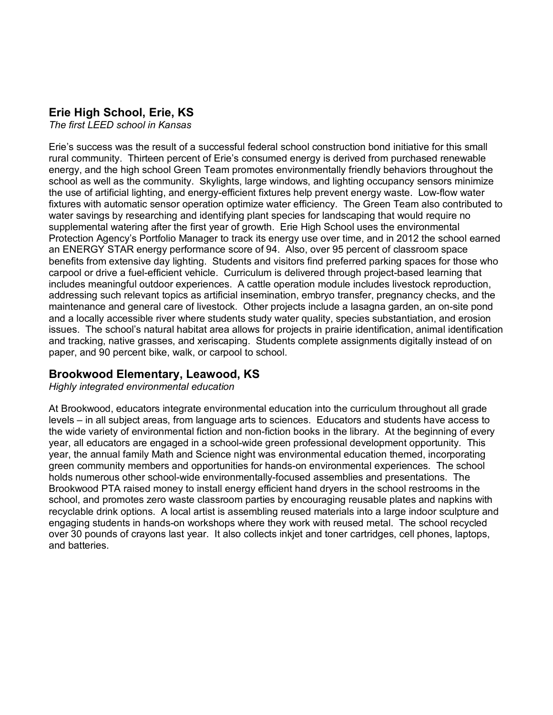#### **Erie High School, Erie, KS**

*The first LEED school in Kansas*

Erie's success was the result of a successful federal school construction bond initiative for this small rural community. Thirteen percent of Erie's consumed energy is derived from purchased renewable energy, and the high school Green Team promotes environmentally friendly behaviors throughout the school as well as the community. Skylights, large windows, and lighting occupancy sensors minimize the use of artificial lighting, and energy-efficient fixtures help prevent energy waste. Low-flow water fixtures with automatic sensor operation optimize water efficiency. The Green Team also contributed to water savings by researching and identifying plant species for landscaping that would require no supplemental watering after the first year of growth. Erie High School uses the environmental Protection Agency's Portfolio Manager to track its energy use over time, and in 2012 the school earned an ENERGY STAR energy performance score of 94. Also, over 95 percent of classroom space benefits from extensive day lighting. Students and visitors find preferred parking spaces for those who carpool or drive a fuel-efficient vehicle. Curriculum is delivered through project-based learning that includes meaningful outdoor experiences. A cattle operation module includes livestock reproduction, addressing such relevant topics as artificial insemination, embryo transfer, pregnancy checks, and the maintenance and general care of livestock. Other projects include a lasagna garden, an on-site pond and a locally accessible river where students study water quality, species substantiation, and erosion issues. The school's natural habitat area allows for projects in prairie identification, animal identification and tracking, native grasses, and xeriscaping. Students complete assignments digitally instead of on paper, and 90 percent bike, walk, or carpool to school.

#### **Brookwood Elementary, Leawood, KS**

*Highly integrated environmental education*

At Brookwood, educators integrate environmental education into the curriculum throughout all grade levels – in all subject areas, from language arts to sciences. Educators and students have access to the wide variety of environmental fiction and non-fiction books in the library. At the beginning of every year, all educators are engaged in a school-wide green professional development opportunity. This year, the annual family Math and Science night was environmental education themed, incorporating green community members and opportunities for hands-on environmental experiences. The school holds numerous other school-wide environmentally-focused assemblies and presentations. The Brookwood PTA raised money to install energy efficient hand dryers in the school restrooms in the school, and promotes zero waste classroom parties by encouraging reusable plates and napkins with recyclable drink options. A local artist is assembling reused materials into a large indoor sculpture and engaging students in hands-on workshops where they work with reused metal. The school recycled over 30 pounds of crayons last year. It also collects inkjet and toner cartridges, cell phones, laptops, and batteries.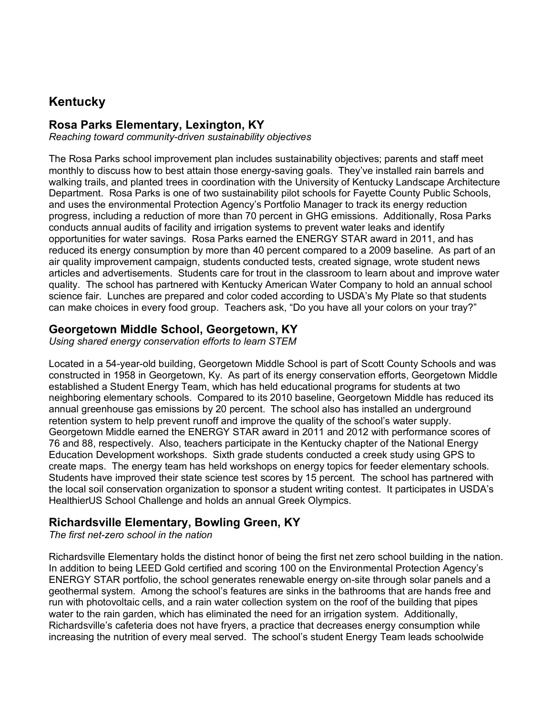# **Kentucky**

#### **Rosa Parks Elementary, Lexington, KY**

*Reaching toward community-driven sustainability objectives*

The Rosa Parks school improvement plan includes sustainability objectives; parents and staff meet monthly to discuss how to best attain those energy-saving goals. They've installed rain barrels and walking trails, and planted trees in coordination with the University of Kentucky Landscape Architecture Department. Rosa Parks is one of two sustainability pilot schools for Fayette County Public Schools, and uses the environmental Protection Agency's Portfolio Manager to track its energy reduction progress, including a reduction of more than 70 percent in GHG emissions. Additionally, Rosa Parks conducts annual audits of facility and irrigation systems to prevent water leaks and identify opportunities for water savings. Rosa Parks earned the ENERGY STAR award in 2011, and has reduced its energy consumption by more than 40 percent compared to a 2009 baseline. As part of an air quality improvement campaign, students conducted tests, created signage, wrote student news articles and advertisements. Students care for trout in the classroom to learn about and improve water quality. The school has partnered with Kentucky American Water Company to hold an annual school science fair. Lunches are prepared and color coded according to USDA's My Plate so that students can make choices in every food group. Teachers ask, "Do you have all your colors on your tray?"

#### **Georgetown Middle School, Georgetown, KY**

*Using shared energy conservation efforts to learn STEM*

Located in a 54-year-old building, Georgetown Middle School is part of Scott County Schools and was constructed in 1958 in Georgetown, Ky. As part of its energy conservation efforts, Georgetown Middle established a Student Energy Team, which has held educational programs for students at two neighboring elementary schools. Compared to its 2010 baseline, Georgetown Middle has reduced its annual greenhouse gas emissions by 20 percent. The school also has installed an underground retention system to help prevent runoff and improve the quality of the school's water supply. Georgetown Middle earned the ENERGY STAR award in 2011 and 2012 with performance scores of 76 and 88, respectively. Also, teachers participate in the Kentucky chapter of the National Energy Education Development workshops. Sixth grade students conducted a creek study using GPS to create maps. The energy team has held workshops on energy topics for feeder elementary schools. Students have improved their state science test scores by 15 percent. The school has partnered with the local soil conservation organization to sponsor a student writing contest. It participates in USDA's HealthierUS School Challenge and holds an annual Greek Olympics.

#### **Richardsville Elementary, Bowling Green, KY**

*The first net-zero school in the nation*

Richardsville Elementary holds the distinct honor of being the first net zero school building in the nation. In addition to being LEED Gold certified and scoring 100 on the Environmental Protection Agency's ENERGY STAR portfolio, the school generates renewable energy on-site through solar panels and a geothermal system. Among the school's features are sinks in the bathrooms that are hands free and run with photovoltaic cells, and a rain water collection system on the roof of the building that pipes water to the rain garden, which has eliminated the need for an irrigation system. Additionally, Richardsville's cafeteria does not have fryers, a practice that decreases energy consumption while increasing the nutrition of every meal served. The school's student Energy Team leads schoolwide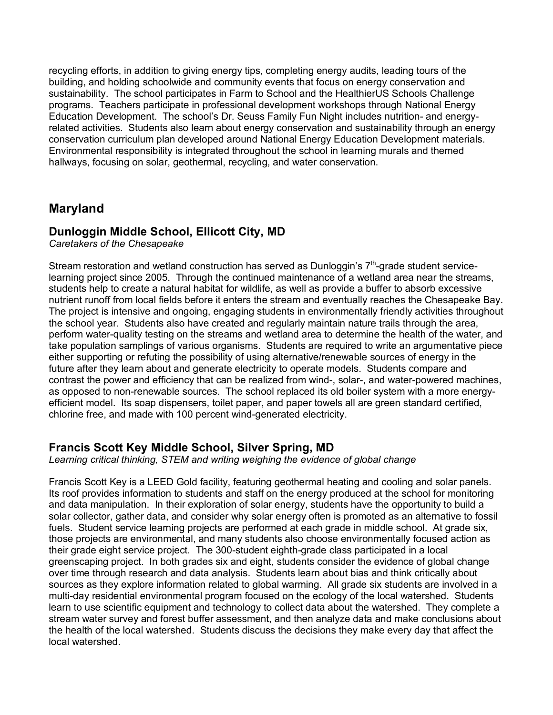recycling efforts, in addition to giving energy tips, completing energy audits, leading tours of the building, and holding schoolwide and community events that focus on energy conservation and sustainability. The school participates in Farm to School and the HealthierUS Schools Challenge programs. Teachers participate in professional development workshops through National Energy Education Development. The school's Dr. Seuss Family Fun Night includes nutrition- and energyrelated activities. Students also learn about energy conservation and sustainability through an energy conservation curriculum plan developed around National Energy Education Development materials. Environmental responsibility is integrated throughout the school in learning murals and themed hallways, focusing on solar, geothermal, recycling, and water conservation.

# **Maryland**

#### **Dunloggin Middle School, Ellicott City, MD**

*Caretakers of the Chesapeake*

Stream restoration and wetland construction has served as Dunloggin's  $7<sup>th</sup>$ -grade student servicelearning project since 2005. Through the continued maintenance of a wetland area near the streams, students help to create a natural habitat for wildlife, as well as provide a buffer to absorb excessive nutrient runoff from local fields before it enters the stream and eventually reaches the Chesapeake Bay. The project is intensive and ongoing, engaging students in environmentally friendly activities throughout the school year. Students also have created and regularly maintain nature trails through the area, perform water-quality testing on the streams and wetland area to determine the health of the water, and take population samplings of various organisms. Students are required to write an argumentative piece either supporting or refuting the possibility of using alternative/renewable sources of energy in the future after they learn about and generate electricity to operate models. Students compare and contrast the power and efficiency that can be realized from wind-, solar-, and water-powered machines, as opposed to non-renewable sources. The school replaced its old boiler system with a more energyefficient model. Its soap dispensers, toilet paper, and paper towels all are green standard certified, chlorine free, and made with 100 percent wind-generated electricity.

#### **Francis Scott Key Middle School, Silver Spring, MD**

*Learning critical thinking, STEM and writing weighing the evidence of global change* 

Francis Scott Key is a LEED Gold facility, featuring geothermal heating and cooling and solar panels. Its roof provides information to students and staff on the energy produced at the school for monitoring and data manipulation. In their exploration of solar energy, students have the opportunity to build a solar collector, gather data, and consider why solar energy often is promoted as an alternative to fossil fuels. Student service learning projects are performed at each grade in middle school. At grade six, those projects are environmental, and many students also choose environmentally focused action as their grade eight service project. The 300-student eighth-grade class participated in a local greenscaping project. In both grades six and eight, students consider the evidence of global change over time through research and data analysis. Students learn about bias and think critically about sources as they explore information related to global warming. All grade six students are involved in a multi-day residential environmental program focused on the ecology of the local watershed. Students learn to use scientific equipment and technology to collect data about the watershed. They complete a stream water survey and forest buffer assessment, and then analyze data and make conclusions about the health of the local watershed. Students discuss the decisions they make every day that affect the local watershed.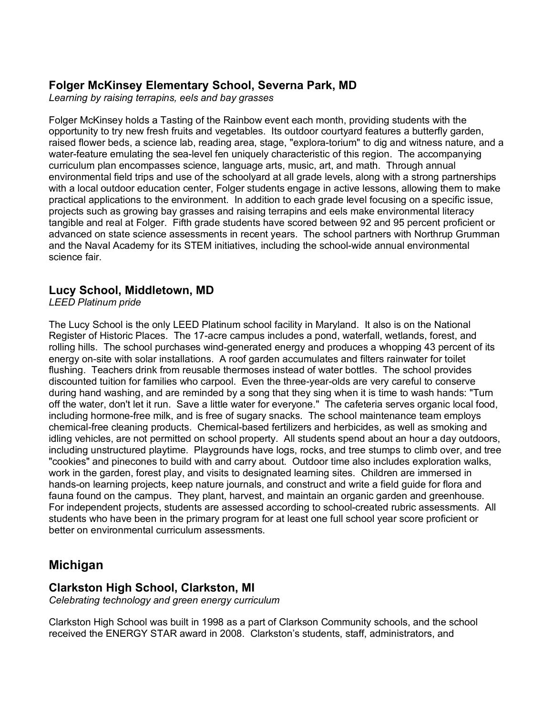# **Folger McKinsey Elementary School, Severna Park, MD**

*Learning by raising terrapins, eels and bay grasses*

Folger McKinsey holds a Tasting of the Rainbow event each month, providing students with the opportunity to try new fresh fruits and vegetables. Its outdoor courtyard features a butterfly garden, raised flower beds, a science lab, reading area, stage, "explora-torium" to dig and witness nature, and a water-feature emulating the sea-level fen uniquely characteristic of this region. The accompanying curriculum plan encompasses science, language arts, music, art, and math. Through annual environmental field trips and use of the schoolyard at all grade levels, along with a strong partnerships with a local outdoor education center, Folger students engage in active lessons, allowing them to make practical applications to the environment. In addition to each grade level focusing on a specific issue, projects such as growing bay grasses and raising terrapins and eels make environmental literacy tangible and real at Folger. Fifth grade students have scored between 92 and 95 percent proficient or advanced on state science assessments in recent years. The school partners with Northrup Grumman and the Naval Academy for its STEM initiatives, including the school-wide annual environmental science fair.

#### **Lucy School, Middletown, MD**

*LEED Platinum pride*

The Lucy School is the only LEED Platinum school facility in Maryland. It also is on the National Register of Historic Places. The 17-acre campus includes a pond, waterfall, wetlands, forest, and rolling hills. The school purchases wind-generated energy and produces a whopping 43 percent of its energy on-site with solar installations. A roof garden accumulates and filters rainwater for toilet flushing. Teachers drink from reusable thermoses instead of water bottles. The school provides discounted tuition for families who carpool. Even the three-year-olds are very careful to conserve during hand washing, and are reminded by a song that they sing when it is time to wash hands: "Turn off the water, don't let it run. Save a little water for everyone." The cafeteria serves organic local food, including hormone-free milk, and is free of sugary snacks. The school maintenance team employs chemical-free cleaning products. Chemical-based fertilizers and herbicides, as well as smoking and idling vehicles, are not permitted on school property. All students spend about an hour a day outdoors, including unstructured playtime. Playgrounds have logs, rocks, and tree stumps to climb over, and tree "cookies" and pinecones to build with and carry about. Outdoor time also includes exploration walks, work in the garden, forest play, and visits to designated learning sites. Children are immersed in hands-on learning projects, keep nature journals, and construct and write a field guide for flora and fauna found on the campus. They plant, harvest, and maintain an organic garden and greenhouse. For independent projects, students are assessed according to school-created rubric assessments. All students who have been in the primary program for at least one full school year score proficient or better on environmental curriculum assessments.

# **Michigan**

#### **Clarkston High School, Clarkston, MI**

*Celebrating technology and green energy curriculum*

Clarkston High School was built in 1998 as a part of Clarkson Community schools, and the school received the ENERGY STAR award in 2008. Clarkston's students, staff, administrators, and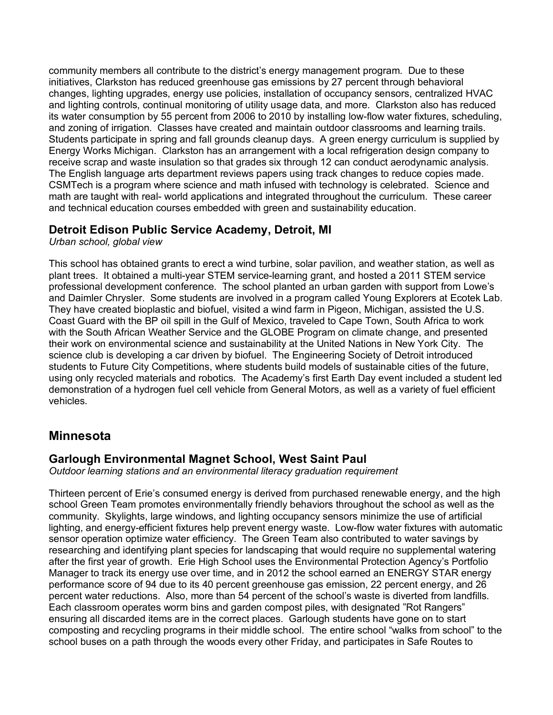community members all contribute to the district's energy management program. Due to these initiatives, Clarkston has reduced greenhouse gas emissions by 27 percent through behavioral changes, lighting upgrades, energy use policies, installation of occupancy sensors, centralized HVAC and lighting controls, continual monitoring of utility usage data, and more. Clarkston also has reduced its water consumption by 55 percent from 2006 to 2010 by installing low-flow water fixtures, scheduling, and zoning of irrigation. Classes have created and maintain outdoor classrooms and learning trails. Students participate in spring and fall grounds cleanup days. A green energy curriculum is supplied by Energy Works Michigan. Clarkston has an arrangement with a local refrigeration design company to receive scrap and waste insulation so that grades six through 12 can conduct aerodynamic analysis. The English language arts department reviews papers using track changes to reduce copies made. CSMTech is a program where science and math infused with technology is celebrated. Science and math are taught with real- world applications and integrated throughout the curriculum. These career and technical education courses embedded with green and sustainability education.

#### **Detroit Edison Public Service Academy, Detroit, MI**

*Urban school, global view*

This school has obtained grants to erect a wind turbine, solar pavilion, and weather station, as well as plant trees. It obtained a multi-year STEM service-learning grant, and hosted a 2011 STEM service professional development conference. The school planted an urban garden with support from Lowe's and Daimler Chrysler. Some students are involved in a program called Young Explorers at Ecotek Lab. They have created bioplastic and biofuel, visited a wind farm in Pigeon, Michigan, assisted the U.S. Coast Guard with the BP oil spill in the Gulf of Mexico, traveled to Cape Town, South Africa to work with the South African Weather Service and the GLOBE Program on climate change, and presented their work on environmental science and sustainability at the United Nations in New York City. The science club is developing a car driven by biofuel. The Engineering Society of Detroit introduced students to Future City Competitions, where students build models of sustainable cities of the future, using only recycled materials and robotics. The Academy's first Earth Day event included a student led demonstration of a hydrogen fuel cell vehicle from General Motors, as well as a variety of fuel efficient vehicles.

# **Minnesota**

#### **Garlough Environmental Magnet School, West Saint Paul**

*Outdoor learning stations and an environmental literacy graduation requirement*

Thirteen percent of Erie's consumed energy is derived from purchased renewable energy, and the high school Green Team promotes environmentally friendly behaviors throughout the school as well as the community. Skylights, large windows, and lighting occupancy sensors minimize the use of artificial lighting, and energy-efficient fixtures help prevent energy waste. Low-flow water fixtures with automatic sensor operation optimize water efficiency. The Green Team also contributed to water savings by researching and identifying plant species for landscaping that would require no supplemental watering after the first year of growth. Erie High School uses the Environmental Protection Agency's Portfolio Manager to track its energy use over time, and in 2012 the school earned an ENERGY STAR energy performance score of 94 due to its 40 percent greenhouse gas emission, 22 percent energy, and 26 percent water reductions. Also, more than 54 percent of the school's waste is diverted from landfills. Each classroom operates worm bins and garden compost piles, with designated "Rot Rangers" ensuring all discarded items are in the correct places. Garlough students have gone on to start composting and recycling programs in their middle school. The entire school "walks from school" to the school buses on a path through the woods every other Friday, and participates in Safe Routes to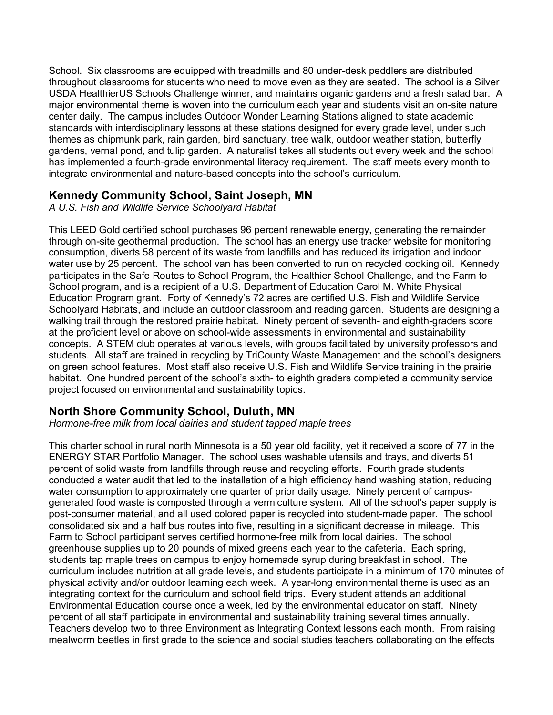School. Six classrooms are equipped with treadmills and 80 under-desk peddlers are distributed throughout classrooms for students who need to move even as they are seated. The school is a Silver USDA HealthierUS Schools Challenge winner, and maintains organic gardens and a fresh salad bar. A major environmental theme is woven into the curriculum each year and students visit an on-site nature center daily. The campus includes Outdoor Wonder Learning Stations aligned to state academic standards with interdisciplinary lessons at these stations designed for every grade level, under such themes as chipmunk park, rain garden, bird sanctuary, tree walk, outdoor weather station, butterfly gardens, vernal pond, and tulip garden. A naturalist takes all students out every week and the school has implemented a fourth-grade environmental literacy requirement. The staff meets every month to integrate environmental and nature-based concepts into the school's curriculum.

#### **Kennedy Community School, Saint Joseph, MN**

*A U.S. Fish and Wildlife Service Schoolyard Habitat*

This LEED Gold certified school purchases 96 percent renewable energy, generating the remainder through on-site geothermal production. The school has an energy use tracker website for monitoring consumption, diverts 58 percent of its waste from landfills and has reduced its irrigation and indoor water use by 25 percent. The school van has been converted to run on recycled cooking oil. Kennedy participates in the Safe Routes to School Program, the Healthier School Challenge, and the Farm to School program, and is a recipient of a U.S. Department of Education Carol M. White Physical Education Program grant. Forty of Kennedy's 72 acres are certified U.S. Fish and Wildlife Service Schoolyard Habitats, and include an outdoor classroom and reading garden. Students are designing a walking trail through the restored prairie habitat. Ninety percent of seventh- and eighth-graders score at the proficient level or above on school-wide assessments in environmental and sustainability concepts. A STEM club operates at various levels, with groups facilitated by university professors and students. All staff are trained in recycling by TriCounty Waste Management and the school's designers on green school features. Most staff also receive U.S. Fish and Wildlife Service training in the prairie habitat. One hundred percent of the school's sixth- to eighth graders completed a community service project focused on environmental and sustainability topics.

# **North Shore Community School, Duluth, MN**

*Hormone-free milk from local dairies and student tapped maple trees*

This charter school in rural north Minnesota is a 50 year old facility, yet it received a score of 77 in the ENERGY STAR Portfolio Manager. The school uses washable utensils and trays, and diverts 51 percent of solid waste from landfills through reuse and recycling efforts. Fourth grade students conducted a water audit that led to the installation of a high efficiency hand washing station, reducing water consumption to approximately one quarter of prior daily usage. Ninety percent of campusgenerated food waste is composted through a vermiculture system. All of the school's paper supply is post-consumer material, and all used colored paper is recycled into student-made paper. The school consolidated six and a half bus routes into five, resulting in a significant decrease in mileage. This Farm to School participant serves certified hormone-free milk from local dairies. The school greenhouse supplies up to 20 pounds of mixed greens each year to the cafeteria. Each spring, students tap maple trees on campus to enjoy homemade syrup during breakfast in school. The curriculum includes nutrition at all grade levels, and students participate in a minimum of 170 minutes of physical activity and/or outdoor learning each week. A year-long environmental theme is used as an integrating context for the curriculum and school field trips. Every student attends an additional Environmental Education course once a week, led by the environmental educator on staff. Ninety percent of all staff participate in environmental and sustainability training several times annually. Teachers develop two to three Environment as Integrating Context lessons each month. From raising mealworm beetles in first grade to the science and social studies teachers collaborating on the effects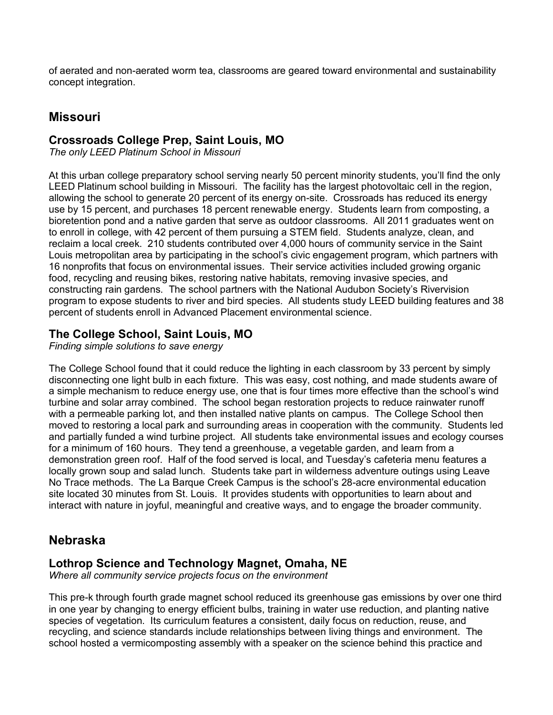of aerated and non-aerated worm tea, classrooms are geared toward environmental and sustainability concept integration.

## **Missouri**

#### **Crossroads College Prep, Saint Louis, MO**

*The only LEED Platinum School in Missouri*

At this urban college preparatory school serving nearly 50 percent minority students, you'll find the only LEED Platinum school building in Missouri. The facility has the largest photovoltaic cell in the region, allowing the school to generate 20 percent of its energy on-site. Crossroads has reduced its energy use by 15 percent, and purchases 18 percent renewable energy. Students learn from composting, a bioretention pond and a native garden that serve as outdoor classrooms. All 2011 graduates went on to enroll in college, with 42 percent of them pursuing a STEM field. Students analyze, clean, and reclaim a local creek. 210 students contributed over 4,000 hours of community service in the Saint Louis metropolitan area by participating in the school's civic engagement program, which partners with 16 nonprofits that focus on environmental issues. Their service activities included growing organic food, recycling and reusing bikes, restoring native habitats, removing invasive species, and constructing rain gardens. The school partners with the National Audubon Society's Rivervision program to expose students to river and bird species. All students study LEED building features and 38 percent of students enroll in Advanced Placement environmental science.

#### **The College School, Saint Louis, MO**

*Finding simple solutions to save energy*

The College School found that it could reduce the lighting in each classroom by 33 percent by simply disconnecting one light bulb in each fixture. This was easy, cost nothing, and made students aware of a simple mechanism to reduce energy use, one that is four times more effective than the school's wind turbine and solar array combined. The school began restoration projects to reduce rainwater runoff with a permeable parking lot, and then installed native plants on campus. The College School then moved to restoring a local park and surrounding areas in cooperation with the community. Students led and partially funded a wind turbine project. All students take environmental issues and ecology courses for a minimum of 160 hours. They tend a greenhouse, a vegetable garden, and learn from a demonstration green roof. Half of the food served is local, and Tuesday's cafeteria menu features a locally grown soup and salad lunch. Students take part in wilderness adventure outings using Leave No Trace methods. The La Barque Creek Campus is the school's 28-acre environmental education site located 30 minutes from St. Louis. It provides students with opportunities to learn about and interact with nature in joyful, meaningful and creative ways, and to engage the broader community.

#### **Nebraska**

#### **Lothrop Science and Technology Magnet, Omaha, NE**

*Where all community service projects focus on the environment*

This pre-k through fourth grade magnet school reduced its greenhouse gas emissions by over one third in one year by changing to energy efficient bulbs, training in water use reduction, and planting native species of vegetation. Its curriculum features a consistent, daily focus on reduction, reuse, and recycling, and science standards include relationships between living things and environment. The school hosted a vermicomposting assembly with a speaker on the science behind this practice and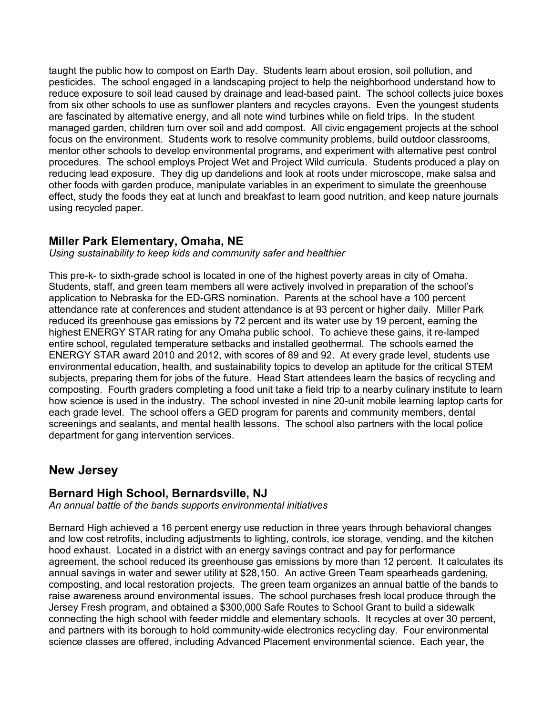taught the public how to compost on Earth Day. Students learn about erosion, soil pollution, and pesticides. The school engaged in a landscaping project to help the neighborhood understand how to reduce exposure to soil lead caused by drainage and lead-based paint. The school collects juice boxes from six other schools to use as sunflower planters and recycles crayons. Even the youngest students are fascinated by alternative energy, and all note wind turbines while on field trips. In the student managed garden, children turn over soil and add compost. All civic engagement projects at the school focus on the environment. Students work to resolve community problems, build outdoor classrooms, mentor other schools to develop environmental programs, and experiment with alternative pest control procedures. The school employs Project Wet and Project Wild curricula. Students produced a play on reducing lead exposure. They dig up dandelions and look at roots under microscope, make salsa and other foods with garden produce, manipulate variables in an experiment to simulate the greenhouse effect, study the foods they eat at lunch and breakfast to learn good nutrition, and keep nature journals using recycled paper.

#### **Miller Park Elementary, Omaha, NE**

*Using sustainability to keep kids and community safer and healthier*

This pre-k- to sixth-grade school is located in one of the highest poverty areas in city of Omaha. Students, staff, and green team members all were actively involved in preparation of the school's application to Nebraska for the ED-GRS nomination. Parents at the school have a 100 percent attendance rate at conferences and student attendance is at 93 percent or higher daily. Miller Park reduced its greenhouse gas emissions by 72 percent and its water use by 19 percent, earning the highest ENERGY STAR rating for any Omaha public school. To achieve these gains, it re-lamped entire school, regulated temperature setbacks and installed geothermal. The schools earned the ENERGY STAR award 2010 and 2012, with scores of 89 and 92. At every grade level, students use environmental education, health, and sustainability topics to develop an aptitude for the critical STEM subjects, preparing them for jobs of the future. Head Start attendees learn the basics of recycling and composting. Fourth graders completing a food unit take a field trip to a nearby culinary institute to learn how science is used in the industry. The school invested in nine 20-unit mobile learning laptop carts for each grade level. The school offers a GED program for parents and community members, dental screenings and sealants, and mental health lessons. The school also partners with the local police department for gang intervention services.

# **New Jersey**

#### **Bernard High School, Bernardsville, NJ**

*An annual battle of the bands supports environmental initiatives*

Bernard High achieved a 16 percent energy use reduction in three years through behavioral changes and low cost retrofits, including adjustments to lighting, controls, ice storage, vending, and the kitchen hood exhaust. Located in a district with an energy savings contract and pay for performance agreement, the school reduced its greenhouse gas emissions by more than 12 percent. It calculates its annual savings in water and sewer utility at \$28,150. An active Green Team spearheads gardening, composting, and local restoration projects. The green team organizes an annual battle of the bands to raise awareness around environmental issues. The school purchases fresh local produce through the Jersey Fresh program, and obtained a \$300,000 Safe Routes to School Grant to build a sidewalk connecting the high school with feeder middle and elementary schools. It recycles at over 30 percent, and partners with its borough to hold community-wide electronics recycling day. Four environmental science classes are offered, including Advanced Placement environmental science. Each year, the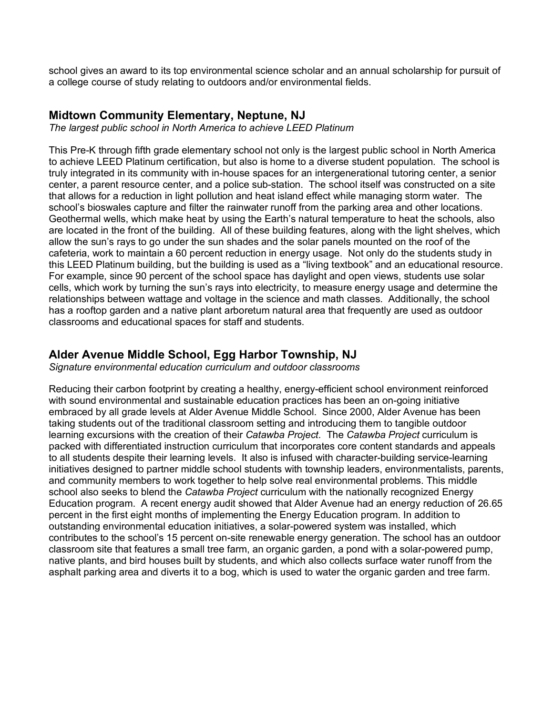school gives an award to its top environmental science scholar and an annual scholarship for pursuit of a college course of study relating to outdoors and/or environmental fields.

#### **Midtown Community Elementary, Neptune, NJ**

*The largest public school in North America to achieve LEED Platinum*

This Pre-K through fifth grade elementary school not only is the largest public school in North America to achieve LEED Platinum certification, but also is home to a diverse student population. The school is truly integrated in its community with in-house spaces for an intergenerational tutoring center, a senior center, a parent resource center, and a police sub-station. The school itself was constructed on a site that allows for a reduction in light pollution and heat island effect while managing storm water. The school's bioswales capture and filter the rainwater runoff from the parking area and other locations. Geothermal wells, which make heat by using the Earth's natural temperature to heat the schools, also are located in the front of the building. All of these building features, along with the light shelves, which allow the sun's rays to go under the sun shades and the solar panels mounted on the roof of the cafeteria, work to maintain a 60 percent reduction in energy usage. Not only do the students study in this LEED Platinum building, but the building is used as a "living textbook" and an educational resource. For example, since 90 percent of the school space has daylight and open views, students use solar cells, which work by turning the sun's rays into electricity, to measure energy usage and determine the relationships between wattage and voltage in the science and math classes. Additionally, the school has a rooftop garden and a native plant arboretum natural area that frequently are used as outdoor classrooms and educational spaces for staff and students.

#### **Alder Avenue Middle School, Egg Harbor Township, NJ**

*Signature environmental education curriculum and outdoor classrooms*

Reducing their carbon footprint by creating a healthy, energy-efficient school environment reinforced with sound environmental and sustainable education practices has been an on-going initiative embraced by all grade levels at Alder Avenue Middle School. Since 2000, Alder Avenue has been taking students out of the traditional classroom setting and introducing them to tangible outdoor learning excursions with the creation of their *Catawba Project*. The *Catawba Project* curriculum is packed with differentiated instruction curriculum that incorporates core content standards and appeals to all students despite their learning levels. It also is infused with character-building service-learning initiatives designed to partner middle school students with township leaders, environmentalists, parents, and community members to work together to help solve real environmental problems. This middle school also seeks to blend the *Catawba Project* curriculum with the nationally recognized Energy Education program. A recent energy audit showed that Alder Avenue had an energy reduction of 26.65 percent in the first eight months of implementing the Energy Education program. In addition to outstanding environmental education initiatives, a solar-powered system was installed, which contributes to the school's 15 percent on-site renewable energy generation. The school has an outdoor classroom site that features a small tree farm, an organic garden, a pond with a solar-powered pump, native plants, and bird houses built by students, and which also collects surface water runoff from the asphalt parking area and diverts it to a bog, which is used to water the organic garden and tree farm.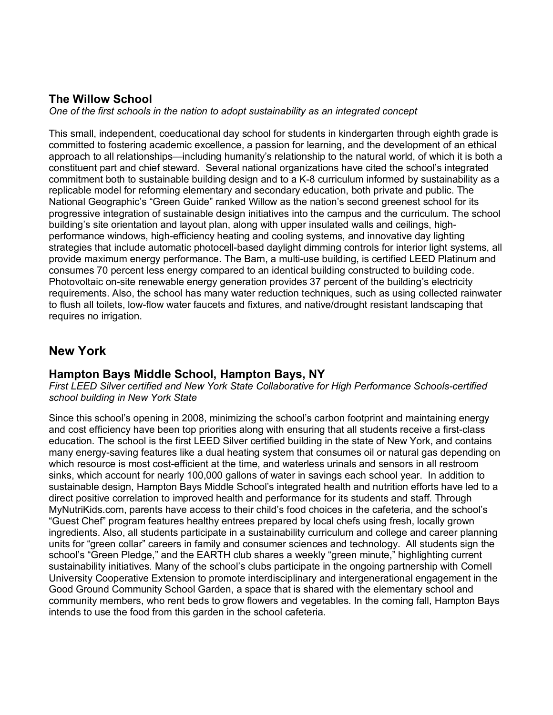# **The Willow School**

*One of the first schools in the nation to adopt sustainability as an integrated concept* 

This small, independent, coeducational day school for students in kindergarten through eighth grade is committed to fostering academic excellence, a passion for learning, and the development of an ethical approach to all relationships—including humanity's relationship to the natural world, of which it is both a constituent part and chief steward. Several national organizations have cited the school's integrated commitment both to sustainable building design and to a K-8 curriculum informed by sustainability as a replicable model for reforming elementary and secondary education, both private and public. The National Geographic's "Green Guide" ranked Willow as the nation's second greenest school for its progressive integration of sustainable design initiatives into the campus and the curriculum. The school building's site orientation and layout plan, along with upper insulated walls and ceilings, highperformance windows, high-efficiency heating and cooling systems, and innovative day lighting strategies that include automatic photocell-based daylight dimming controls for interior light systems, all provide maximum energy performance. The Barn, a multi-use building, is certified LEED Platinum and consumes 70 percent less energy compared to an identical building constructed to building code. Photovoltaic on-site renewable energy generation provides 37 percent of the building's electricity requirements. Also, the school has many water reduction techniques, such as using collected rainwater to flush all toilets, low-flow water faucets and fixtures, and native/drought resistant landscaping that requires no irrigation.

# **New York**

#### **Hampton Bays Middle School, Hampton Bays, NY**

*First LEED Silver certified and New York State Collaborative for High Performance Schools-certified school building in New York State*

Since this school's opening in 2008, minimizing the school's carbon footprint and maintaining energy and cost efficiency have been top priorities along with ensuring that all students receive a first-class education. The school is the first LEED Silver certified building in the state of New York, and contains many energy-saving features like a dual heating system that consumes oil or natural gas depending on which resource is most cost-efficient at the time, and waterless urinals and sensors in all restroom sinks, which account for nearly 100,000 gallons of water in savings each school year. In addition to sustainable design, Hampton Bays Middle School's integrated health and nutrition efforts have led to a direct positive correlation to improved health and performance for its students and staff. Through MyNutriKids.com, parents have access to their child's food choices in the cafeteria, and the school's "Guest Chef" program features healthy entrees prepared by local chefs using fresh, locally grown ingredients. Also, all students participate in a sustainability curriculum and college and career planning units for "green collar" careers in family and consumer sciences and technology. All students sign the school's "Green Pledge," and the EARTH club shares a weekly "green minute," highlighting current sustainability initiatives. Many of the school's clubs participate in the ongoing partnership with Cornell University Cooperative Extension to promote interdisciplinary and intergenerational engagement in the Good Ground Community School Garden, a space that is shared with the elementary school and community members, who rent beds to grow flowers and vegetables. In the coming fall, Hampton Bays intends to use the food from this garden in the school cafeteria.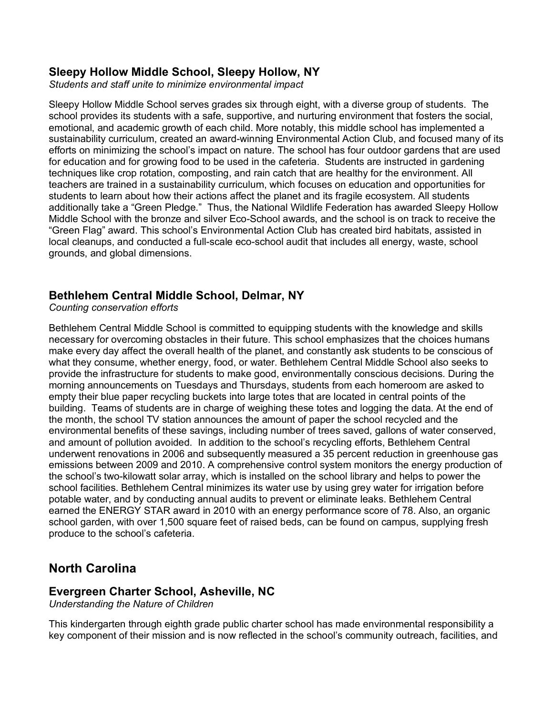#### **Sleepy Hollow Middle School, Sleepy Hollow, NY**

*Students and staff unite to minimize environmental impact*

Sleepy Hollow Middle School serves grades six through eight, with a diverse group of students. The school provides its students with a safe, supportive, and nurturing environment that fosters the social, emotional, and academic growth of each child. More notably, this middle school has implemented a sustainability curriculum, created an award-winning Environmental Action Club, and focused many of its efforts on minimizing the school's impact on nature. The school has four outdoor gardens that are used for education and for growing food to be used in the cafeteria. Students are instructed in gardening techniques like crop rotation, composting, and rain catch that are healthy for the environment. All teachers are trained in a sustainability curriculum, which focuses on education and opportunities for students to learn about how their actions affect the planet and its fragile ecosystem. All students additionally take a "Green Pledge." Thus, the National Wildlife Federation has awarded Sleepy Hollow Middle School with the bronze and silver Eco-School awards, and the school is on track to receive the "Green Flag" award. This school's Environmental Action Club has created bird habitats, assisted in local cleanups, and conducted a full-scale eco-school audit that includes all energy, waste, school grounds, and global dimensions.

#### **Bethlehem Central Middle School, Delmar, NY**

*Counting conservation efforts*

Bethlehem Central Middle School is committed to equipping students with the knowledge and skills necessary for overcoming obstacles in their future. This school emphasizes that the choices humans make every day affect the overall health of the planet, and constantly ask students to be conscious of what they consume, whether energy, food, or water. Bethlehem Central Middle School also seeks to provide the infrastructure for students to make good, environmentally conscious decisions. During the morning announcements on Tuesdays and Thursdays, students from each homeroom are asked to empty their blue paper recycling buckets into large totes that are located in central points of the building. Teams of students are in charge of weighing these totes and logging the data. At the end of the month, the school TV station announces the amount of paper the school recycled and the environmental benefits of these savings, including number of trees saved, gallons of water conserved, and amount of pollution avoided. In addition to the school's recycling efforts, Bethlehem Central underwent renovations in 2006 and subsequently measured a 35 percent reduction in greenhouse gas emissions between 2009 and 2010. A comprehensive control system monitors the energy production of the school's two-kilowatt solar array, which is installed on the school library and helps to power the school facilities. Bethlehem Central minimizes its water use by using grey water for irrigation before potable water, and by conducting annual audits to prevent or eliminate leaks. Bethlehem Central earned the ENERGY STAR award in 2010 with an energy performance score of 78. Also, an organic school garden, with over 1,500 square feet of raised beds, can be found on campus, supplying fresh produce to the school's cafeteria.

# **North Carolina**

#### **Evergreen Charter School, Asheville, NC**

*Understanding the Nature of Children*

This kindergarten through eighth grade public charter school has made environmental responsibility a key component of their mission and is now reflected in the school's community outreach, facilities, and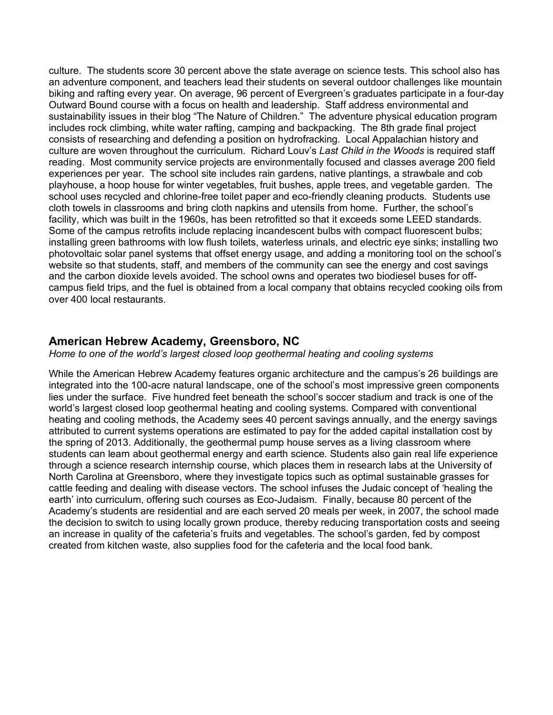culture. The students score 30 percent above the state average on science tests. This school also has an adventure component, and teachers lead their students on several outdoor challenges like mountain biking and rafting every year. On average, 96 percent of Evergreen's graduates participate in a four-day Outward Bound course with a focus on health and leadership. Staff address environmental and sustainability issues in their blog "The Nature of Children." The adventure physical education program includes rock climbing, white water rafting, camping and backpacking. The 8th grade final project consists of researching and defending a position on hydrofracking. Local Appalachian history and culture are woven throughout the curriculum. Richard Louv's *Last Child in the Woods* is required staff reading. Most community service projects are environmentally focused and classes average 200 field experiences per year. The school site includes rain gardens, native plantings, a strawbale and cob playhouse, a hoop house for winter vegetables, fruit bushes, apple trees, and vegetable garden. The school uses recycled and chlorine-free toilet paper and eco-friendly cleaning products. Students use cloth towels in classrooms and bring cloth napkins and utensils from home. Further, the school's facility, which was built in the 1960s, has been retrofitted so that it exceeds some LEED standards. Some of the campus retrofits include replacing incandescent bulbs with compact fluorescent bulbs; installing green bathrooms with low flush toilets, waterless urinals, and electric eye sinks; installing two photovoltaic solar panel systems that offset energy usage, and adding a monitoring tool on the school's website so that students, staff, and members of the community can see the energy and cost savings and the carbon dioxide levels avoided. The school owns and operates two biodiesel buses for offcampus field trips, and the fuel is obtained from a local company that obtains recycled cooking oils from over 400 local restaurants.

#### **American Hebrew Academy, Greensboro, NC**

*Home to one of the world's largest closed loop geothermal heating and cooling systems*

While the American Hebrew Academy features organic architecture and the campus's 26 buildings are integrated into the 100-acre natural landscape, one of the school's most impressive green components lies under the surface. Five hundred feet beneath the school's soccer stadium and track is one of the world's largest closed loop geothermal heating and cooling systems. Compared with conventional heating and cooling methods, the Academy sees 40 percent savings annually, and the energy savings attributed to current systems operations are estimated to pay for the added capital installation cost by the spring of 2013. Additionally, the geothermal pump house serves as a living classroom where students can learn about geothermal energy and earth science. Students also gain real life experience through a science research internship course, which places them in research labs at the University of North Carolina at Greensboro, where they investigate topics such as optimal sustainable grasses for cattle feeding and dealing with disease vectors. The school infuses the Judaic concept of 'healing the earth' into curriculum, offering such courses as Eco-Judaism. Finally, because 80 percent of the Academy's students are residential and are each served 20 meals per week, in 2007, the school made the decision to switch to using locally grown produce, thereby reducing transportation costs and seeing an increase in quality of the cafeteria's fruits and vegetables. The school's garden, fed by compost created from kitchen waste, also supplies food for the cafeteria and the local food bank.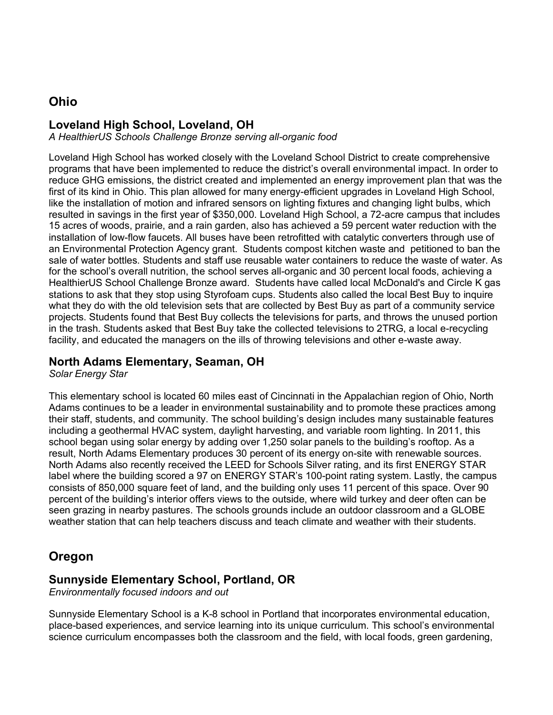# **Ohio**

## **Loveland High School, Loveland, OH**

*A HealthierUS Schools Challenge Bronze serving all-organic food*

Loveland High School has worked closely with the Loveland School District to create comprehensive programs that have been implemented to reduce the district's overall environmental impact. In order to reduce GHG emissions, the district created and implemented an energy improvement plan that was the first of its kind in Ohio. This plan allowed for many energy-efficient upgrades in Loveland High School, like the installation of motion and infrared sensors on lighting fixtures and changing light bulbs, which resulted in savings in the first year of \$350,000. Loveland High School, a 72-acre campus that includes 15 acres of woods, prairie, and a rain garden, also has achieved a 59 percent water reduction with the installation of low-flow faucets. All buses have been retrofitted with catalytic converters through use of an Environmental Protection Agency grant. Students compost kitchen waste and petitioned to ban the sale of water bottles. Students and staff use reusable water containers to reduce the waste of water. As for the school's overall nutrition, the school serves all-organic and 30 percent local foods, achieving a HealthierUS School Challenge Bronze award. Students have called local McDonald's and Circle K gas stations to ask that they stop using Styrofoam cups. Students also called the local Best Buy to inquire what they do with the old television sets that are collected by Best Buy as part of a community service projects. Students found that Best Buy collects the televisions for parts, and throws the unused portion in the trash. Students asked that Best Buy take the collected televisions to 2TRG, a local e-recycling facility, and educated the managers on the ills of throwing televisions and other e-waste away.

#### **North Adams Elementary, Seaman, OH**

*Solar Energy Star*

This elementary school is located 60 miles east of Cincinnati in the Appalachian region of Ohio, North Adams continues to be a leader in environmental sustainability and to promote these practices among their staff, students, and community. The school building's design includes many sustainable features including a geothermal HVAC system, daylight harvesting, and variable room lighting. In 2011, this school began using solar energy by adding over 1,250 solar panels to the building's rooftop. As a result, North Adams Elementary produces 30 percent of its energy on-site with renewable sources. North Adams also recently received the LEED for Schools Silver rating, and its first ENERGY STAR label where the building scored a 97 on ENERGY STAR's 100-point rating system. Lastly, the campus consists of 850,000 square feet of land, and the building only uses 11 percent of this space. Over 90 percent of the building's interior offers views to the outside, where wild turkey and deer often can be seen grazing in nearby pastures. The schools grounds include an outdoor classroom and a GLOBE weather station that can help teachers discuss and teach climate and weather with their students.

# **Oregon**

#### **Sunnyside Elementary School, Portland, OR**

*Environmentally focused indoors and out*

Sunnyside Elementary School is a K-8 school in Portland that incorporates environmental education, place-based experiences, and service learning into its unique curriculum. This school's environmental science curriculum encompasses both the classroom and the field, with local foods, green gardening,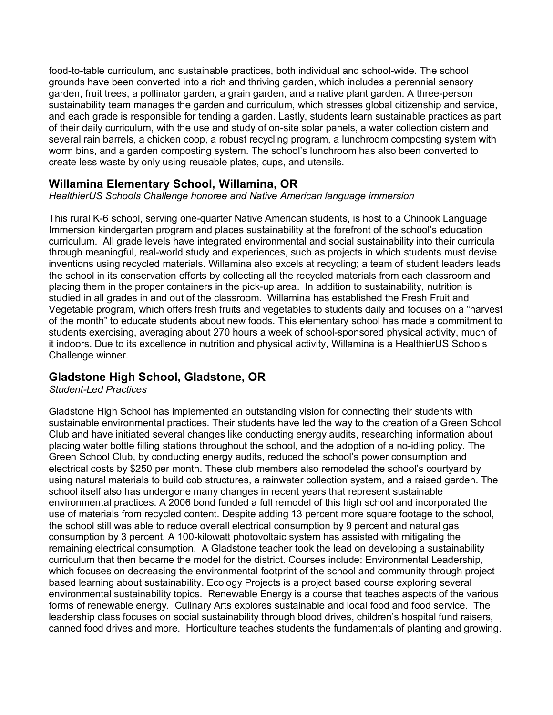food-to-table curriculum, and sustainable practices, both individual and school-wide. The school grounds have been converted into a rich and thriving garden, which includes a perennial sensory garden, fruit trees, a pollinator garden, a grain garden, and a native plant garden. A three-person sustainability team manages the garden and curriculum, which stresses global citizenship and service, and each grade is responsible for tending a garden. Lastly, students learn sustainable practices as part of their daily curriculum, with the use and study of on-site solar panels, a water collection cistern and several rain barrels, a chicken coop, a robust recycling program, a lunchroom composting system with worm bins, and a garden composting system. The school's lunchroom has also been converted to create less waste by only using reusable plates, cups, and utensils.

## **Willamina Elementary School, Willamina, OR**

*HealthierUS Schools Challenge honoree and Native American language immersion*

This rural K-6 school, serving one-quarter Native American students, is host to a Chinook Language Immersion kindergarten program and places sustainability at the forefront of the school's education curriculum. All grade levels have integrated environmental and social sustainability into their curricula through meaningful, real-world study and experiences, such as projects in which students must devise inventions using recycled materials. Willamina also excels at recycling; a team of student leaders leads the school in its conservation efforts by collecting all the recycled materials from each classroom and placing them in the proper containers in the pick-up area. In addition to sustainability, nutrition is studied in all grades in and out of the classroom. Willamina has established the Fresh Fruit and Vegetable program, which offers fresh fruits and vegetables to students daily and focuses on a "harvest of the month" to educate students about new foods. This elementary school has made a commitment to students exercising, averaging about 270 hours a week of school-sponsored physical activity, much of it indoors. Due to its excellence in nutrition and physical activity, Willamina is a HealthierUS Schools Challenge winner.

#### **Gladstone High School, Gladstone, OR**

*Student-Led Practices*

Gladstone High School has implemented an outstanding vision for connecting their students with sustainable environmental practices. Their students have led the way to the creation of a Green School Club and have initiated several changes like conducting energy audits, researching information about placing water bottle filling stations throughout the school, and the adoption of a no-idling policy. The Green School Club, by conducting energy audits, reduced the school's power consumption and electrical costs by \$250 per month. These club members also remodeled the school's courtyard by using natural materials to build cob structures, a rainwater collection system, and a raised garden. The school itself also has undergone many changes in recent years that represent sustainable environmental practices. A 2006 bond funded a full remodel of this high school and incorporated the use of materials from recycled content. Despite adding 13 percent more square footage to the school, the school still was able to reduce overall electrical consumption by 9 percent and natural gas consumption by 3 percent. A 100-kilowatt photovoltaic system has assisted with mitigating the remaining electrical consumption. A Gladstone teacher took the lead on developing a sustainability curriculum that then became the model for the district. Courses include: Environmental Leadership, which focuses on decreasing the environmental footprint of the school and community through project based learning about sustainability. Ecology Projects is a project based course exploring several environmental sustainability topics. Renewable Energy is a course that teaches aspects of the various forms of renewable energy. Culinary Arts explores sustainable and local food and food service. The leadership class focuses on social sustainability through blood drives, children's hospital fund raisers, canned food drives and more. Horticulture teaches students the fundamentals of planting and growing.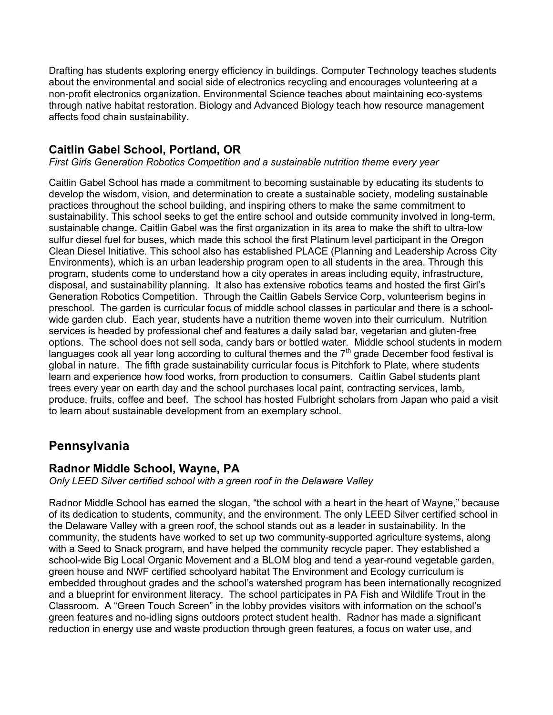Drafting has students exploring energy efficiency in buildings. Computer Technology teaches students about the environmental and social side of electronics recycling and encourages volunteering at a non-profit electronics organization. Environmental Science teaches about maintaining eco-systems through native habitat restoration. Biology and Advanced Biology teach how resource management affects food chain sustainability.

## **Caitlin Gabel School, Portland, OR**

*First Girls Generation Robotics Competition and a sustainable nutrition theme every year*

Caitlin Gabel School has made a commitment to becoming sustainable by educating its students to develop the wisdom, vision, and determination to create a sustainable society, modeling sustainable practices throughout the school building, and inspiring others to make the same commitment to sustainability. This school seeks to get the entire school and outside community involved in long-term, sustainable change. Caitlin Gabel was the first organization in its area to make the shift to ultra-low sulfur diesel fuel for buses, which made this school the first Platinum level participant in the Oregon Clean Diesel Initiative. This school also has established PLACE (Planning and Leadership Across City Environments), which is an urban leadership program open to all students in the area. Through this program, students come to understand how a city operates in areas including equity, infrastructure, disposal, and sustainability planning. It also has extensive robotics teams and hosted the first Girl's Generation Robotics Competition. Through the Caitlin Gabels Service Corp, volunteerism begins in preschool. The garden is curricular focus of middle school classes in particular and there is a schoolwide garden club. Each year, students have a nutrition theme woven into their curriculum. Nutrition services is headed by professional chef and features a daily salad bar, vegetarian and gluten-free options. The school does not sell soda, candy bars or bottled water. Middle school students in modern languages cook all year long according to cultural themes and the  $7<sup>th</sup>$  grade December food festival is global in nature. The fifth grade sustainability curricular focus is Pitchfork to Plate, where students learn and experience how food works, from production to consumers. Caitlin Gabel students plant trees every year on earth day and the school purchases local paint, contracting services, lamb, produce, fruits, coffee and beef. The school has hosted Fulbright scholars from Japan who paid a visit to learn about sustainable development from an exemplary school.

# **Pennsylvania**

#### **Radnor Middle School, Wayne, PA**

*Only LEED Silver certified school with a green roof in the Delaware Valley* 

Radnor Middle School has earned the slogan, "the school with a heart in the heart of Wayne," because of its dedication to students, community, and the environment. The only LEED Silver certified school in the Delaware Valley with a green roof, the school stands out as a leader in sustainability. In the community, the students have worked to set up two community-supported agriculture systems, along with a Seed to Snack program, and have helped the community recycle paper. They established a school-wide Big Local Organic Movement and a BLOM blog and tend a year-round vegetable garden, green house and NWF certified schoolyard habitat The Environment and Ecology curriculum is embedded throughout grades and the school's watershed program has been internationally recognized and a blueprint for environment literacy. The school participates in PA Fish and Wildlife Trout in the Classroom. A "Green Touch Screen" in the lobby provides visitors with information on the school's green features and no-idling signs outdoors protect student health. Radnor has made a significant reduction in energy use and waste production through green features, a focus on water use, and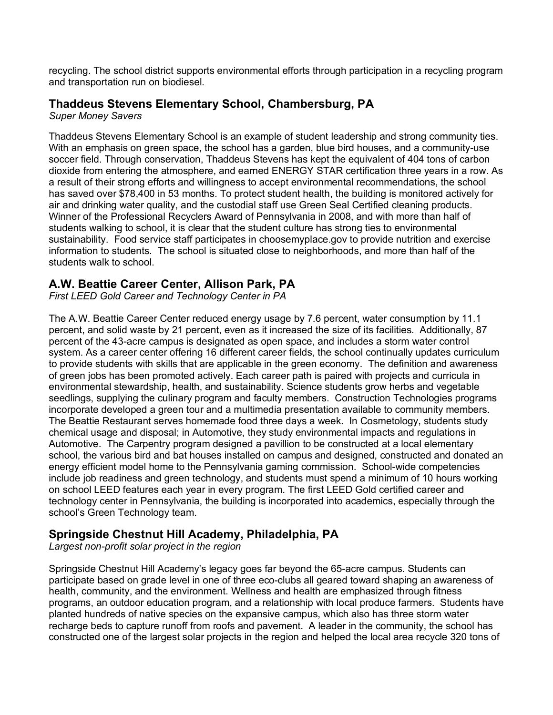recycling. The school district supports environmental efforts through participation in a recycling program and transportation run on biodiesel.

## **Thaddeus Stevens Elementary School, Chambersburg, PA**

*Super Money Savers*

Thaddeus Stevens Elementary School is an example of student leadership and strong community ties. With an emphasis on green space, the school has a garden, blue bird houses, and a community-use soccer field. Through conservation, Thaddeus Stevens has kept the equivalent of 404 tons of carbon dioxide from entering the atmosphere, and earned ENERGY STAR certification three years in a row. As a result of their strong efforts and willingness to accept environmental recommendations, the school has saved over \$78,400 in 53 months. To protect student health, the building is monitored actively for air and drinking water quality, and the custodial staff use Green Seal Certified cleaning products. Winner of the Professional Recyclers Award of Pennsylvania in 2008, and with more than half of students walking to school, it is clear that the student culture has strong ties to environmental sustainability. Food service staff participates in choosemyplace.gov to provide nutrition and exercise information to students. The school is situated close to neighborhoods, and more than half of the students walk to school.

#### **A.W. Beattie Career Center, Allison Park, PA**

*First LEED Gold Career and Technology Center in PA*

The A.W. Beattie Career Center reduced energy usage by 7.6 percent, water consumption by 11.1 percent, and solid waste by 21 percent, even as it increased the size of its facilities. Additionally, 87 percent of the 43-acre campus is designated as open space, and includes a storm water control system. As a career center offering 16 different career fields, the school continually updates curriculum to provide students with skills that are applicable in the green economy. The definition and awareness of green jobs has been promoted actively. Each career path is paired with projects and curricula in environmental stewardship, health, and sustainability. Science students grow herbs and vegetable seedlings, supplying the culinary program and faculty members. Construction Technologies programs incorporate developed a green tour and a multimedia presentation available to community members. The Beattie Restaurant serves homemade food three days a week. In Cosmetology, students study chemical usage and disposal; in Automotive, they study environmental impacts and regulations in Automotive. The Carpentry program designed a pavillion to be constructed at a local elementary school, the various bird and bat houses installed on campus and designed, constructed and donated an energy efficient model home to the Pennsylvania gaming commission. School-wide competencies include job readiness and green technology, and students must spend a minimum of 10 hours working on school LEED features each year in every program. The first LEED Gold certified career and technology center in Pennsylvania, the building is incorporated into academics, especially through the school's Green Technology team.

# **Springside Chestnut Hill Academy, Philadelphia, PA**

*Largest non-profit solar project in the region*

Springside Chestnut Hill Academy's legacy goes far beyond the 65-acre campus. Students can participate based on grade level in one of three eco-clubs all geared toward shaping an awareness of health, community, and the environment. Wellness and health are emphasized through fitness programs, an outdoor education program, and a relationship with local produce farmers. Students have planted hundreds of native species on the expansive campus, which also has three storm water recharge beds to capture runoff from roofs and pavement. A leader in the community, the school has constructed one of the largest solar projects in the region and helped the local area recycle 320 tons of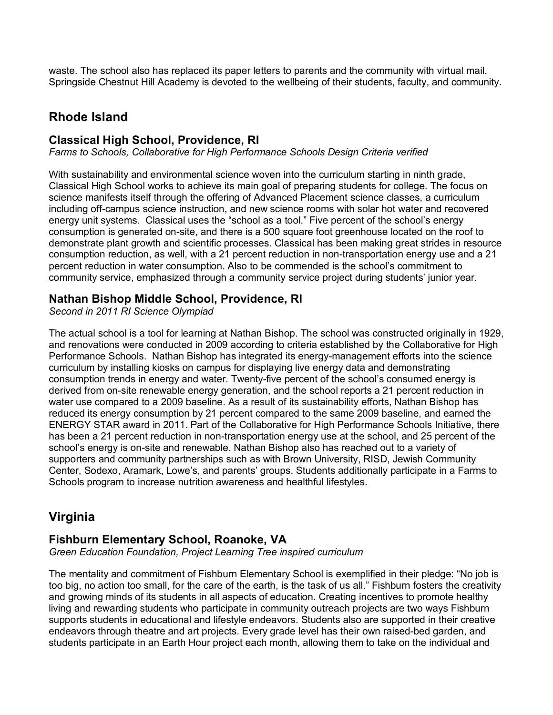waste. The school also has replaced its paper letters to parents and the community with virtual mail. Springside Chestnut Hill Academy is devoted to the wellbeing of their students, faculty, and community.

# **Rhode Island**

### **Classical High School, Providence, RI**

*Farms to Schools, Collaborative for High Performance Schools Design Criteria verified*

With sustainability and environmental science woven into the curriculum starting in ninth grade, Classical High School works to achieve its main goal of preparing students for college. The focus on science manifests itself through the offering of Advanced Placement science classes, a curriculum including off-campus science instruction, and new science rooms with solar hot water and recovered energy unit systems. Classical uses the "school as a tool." Five percent of the school's energy consumption is generated on-site, and there is a 500 square foot greenhouse located on the roof to demonstrate plant growth and scientific processes. Classical has been making great strides in resource consumption reduction, as well, with a 21 percent reduction in non-transportation energy use and a 21 percent reduction in water consumption. Also to be commended is the school's commitment to community service, emphasized through a community service project during students' junior year.

#### **Nathan Bishop Middle School, Providence, RI**

*Second in 2011 RI Science Olympiad*

The actual school is a tool for learning at Nathan Bishop. The school was constructed originally in 1929, and renovations were conducted in 2009 according to criteria established by the Collaborative for High Performance Schools. Nathan Bishop has integrated its energy-management efforts into the science curriculum by installing kiosks on campus for displaying live energy data and demonstrating consumption trends in energy and water. Twenty-five percent of the school's consumed energy is derived from on-site renewable energy generation, and the school reports a 21 percent reduction in water use compared to a 2009 baseline. As a result of its sustainability efforts, Nathan Bishop has reduced its energy consumption by 21 percent compared to the same 2009 baseline, and earned the ENERGY STAR award in 2011. Part of the Collaborative for High Performance Schools Initiative, there has been a 21 percent reduction in non-transportation energy use at the school, and 25 percent of the school's energy is on-site and renewable. Nathan Bishop also has reached out to a variety of supporters and community partnerships such as with Brown University, RISD, Jewish Community Center, Sodexo, Aramark, Lowe's, and parents' groups. Students additionally participate in a Farms to Schools program to increase nutrition awareness and healthful lifestyles.

# **Virginia**

#### **Fishburn Elementary School, Roanoke, VA**

*Green Education Foundation, Project Learning Tree inspired curriculum*

The mentality and commitment of Fishburn Elementary School is exemplified in their pledge: "No job is too big, no action too small, for the care of the earth, is the task of us all." Fishburn fosters the creativity and growing minds of its students in all aspects of education. Creating incentives to promote healthy living and rewarding students who participate in community outreach projects are two ways Fishburn supports students in educational and lifestyle endeavors. Students also are supported in their creative endeavors through theatre and art projects. Every grade level has their own raised-bed garden, and students participate in an Earth Hour project each month, allowing them to take on the individual and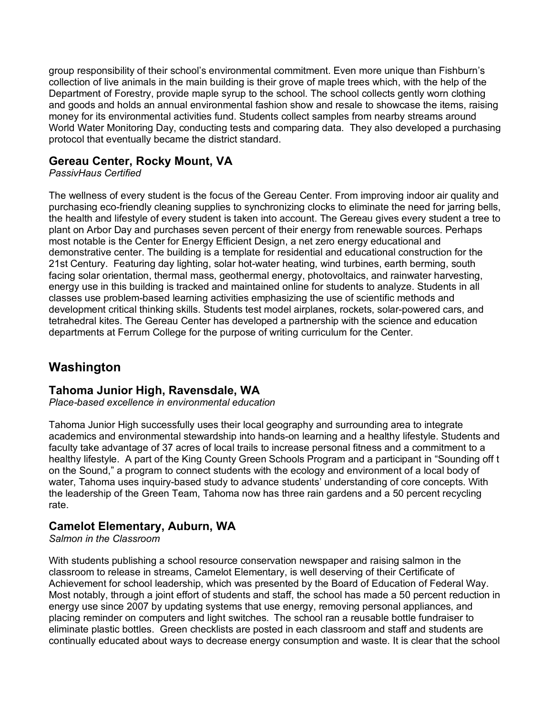group responsibility of their school's environmental commitment. Even more unique than Fishburn's collection of live animals in the main building is their grove of maple trees which, with the help of the Department of Forestry, provide maple syrup to the school. The school collects gently worn clothing and goods and holds an annual environmental fashion show and resale to showcase the items, raising money for its environmental activities fund. Students collect samples from nearby streams around World Water Monitoring Day, conducting tests and comparing data. They also developed a purchasing protocol that eventually became the district standard.

#### **Gereau Center, Rocky Mount, VA**

*PassivHaus Certified*

The wellness of every student is the focus of the Gereau Center. From improving indoor air quality and purchasing eco-friendly cleaning supplies to synchronizing clocks to eliminate the need for jarring bells, the health and lifestyle of every student is taken into account. The Gereau gives every student a tree to plant on Arbor Day and purchases seven percent of their energy from renewable sources. Perhaps most notable is the Center for Energy Efficient Design, a net zero energy educational and demonstrative center. The building is a template for residential and educational construction for the 21st Century. Featuring day lighting, solar hot-water heating, wind turbines, earth berming, south facing solar orientation, thermal mass, geothermal energy, photovoltaics, and rainwater harvesting, energy use in this building is tracked and maintained online for students to analyze. Students in all classes use problem-based learning activities emphasizing the use of scientific methods and development critical thinking skills. Students test model airplanes, rockets, solar-powered cars, and tetrahedral kites. The Gereau Center has developed a partnership with the science and education departments at Ferrum College for the purpose of writing curriculum for the Center.

# **Washington**

#### **Tahoma Junior High, Ravensdale, WA**

*Place-based excellence in environmental education*

Tahoma Junior High successfully uses their local geography and surrounding area to integrate academics and environmental stewardship into hands-on learning and a healthy lifestyle. Students and faculty take advantage of 37 acres of local trails to increase personal fitness and a commitment to a healthy lifestyle. A part of the King County Green Schools Program and a participant in "Sounding off t on the Sound," a program to connect students with the ecology and environment of a local body of water, Tahoma uses inquiry-based study to advance students' understanding of core concepts. With the leadership of the Green Team, Tahoma now has three rain gardens and a 50 percent recycling rate.

#### **Camelot Elementary, Auburn, WA**

*Salmon in the Classroom*

With students publishing a school resource conservation newspaper and raising salmon in the classroom to release in streams, Camelot Elementary, is well deserving of their Certificate of Achievement for school leadership, which was presented by the Board of Education of Federal Way. Most notably, through a joint effort of students and staff, the school has made a 50 percent reduction in energy use since 2007 by updating systems that use energy, removing personal appliances, and placing reminder on computers and light switches. The school ran a reusable bottle fundraiser to eliminate plastic bottles. Green checklists are posted in each classroom and staff and students are continually educated about ways to decrease energy consumption and waste. It is clear that the school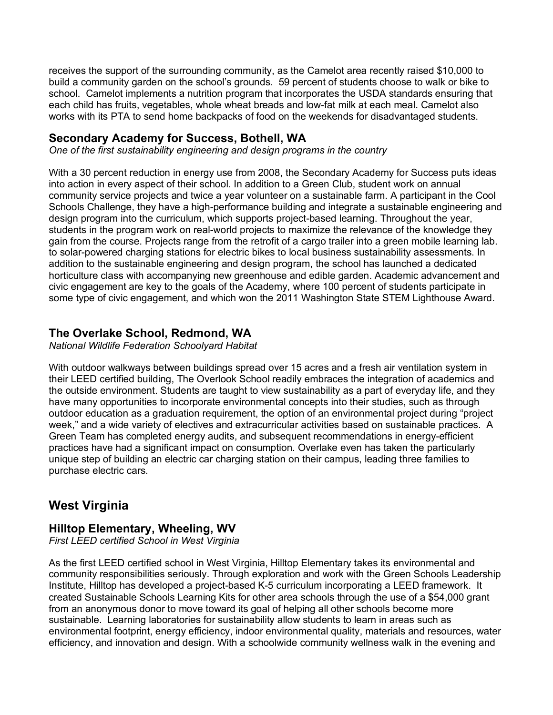receives the support of the surrounding community, as the Camelot area recently raised \$10,000 to build a community garden on the school's grounds. 59 percent of students choose to walk or bike to school. Camelot implements a nutrition program that incorporates the USDA standards ensuring that each child has fruits, vegetables, whole wheat breads and low-fat milk at each meal. Camelot also works with its PTA to send home backpacks of food on the weekends for disadvantaged students.

### **Secondary Academy for Success, Bothell, WA**

*One of the first sustainability engineering and design programs in the country*

With a 30 percent reduction in energy use from 2008, the Secondary Academy for Success puts ideas into action in every aspect of their school. In addition to a Green Club, student work on annual community service projects and twice a year volunteer on a sustainable farm. A participant in the Cool Schools Challenge, they have a high-performance building and integrate a sustainable engineering and design program into the curriculum, which supports project-based learning. Throughout the year, students in the program work on real-world projects to maximize the relevance of the knowledge they gain from the course. Projects range from the retrofit of a cargo trailer into a green mobile learning lab. to solar-powered charging stations for electric bikes to local business sustainability assessments. In addition to the sustainable engineering and design program, the school has launched a dedicated horticulture class with accompanying new greenhouse and edible garden. Academic advancement and civic engagement are key to the goals of the Academy, where 100 percent of students participate in some type of civic engagement, and which won the 2011 Washington State STEM Lighthouse Award.

# **The Overlake School, Redmond, WA**

*National Wildlife Federation Schoolyard Habitat* 

With outdoor walkways between buildings spread over 15 acres and a fresh air ventilation system in their LEED certified building, The Overlook School readily embraces the integration of academics and the outside environment. Students are taught to view sustainability as a part of everyday life, and they have many opportunities to incorporate environmental concepts into their studies, such as through outdoor education as a graduation requirement, the option of an environmental project during "project week," and a wide variety of electives and extracurricular activities based on sustainable practices. A Green Team has completed energy audits, and subsequent recommendations in energy-efficient practices have had a significant impact on consumption. Overlake even has taken the particularly unique step of building an electric car charging station on their campus, leading three families to purchase electric cars.

# **West Virginia**

#### **Hilltop Elementary, Wheeling, WV**

*First LEED certified School in West Virginia* 

As the first LEED certified school in West Virginia, Hilltop Elementary takes its environmental and community responsibilities seriously. Through exploration and work with the Green Schools Leadership Institute, Hilltop has developed a project-based K-5 curriculum incorporating a LEED framework. It created Sustainable Schools Learning Kits for other area schools through the use of a \$54,000 grant from an anonymous donor to move toward its goal of helping all other schools become more sustainable. Learning laboratories for sustainability allow students to learn in areas such as environmental footprint, energy efficiency, indoor environmental quality, materials and resources, water efficiency, and innovation and design. With a schoolwide community wellness walk in the evening and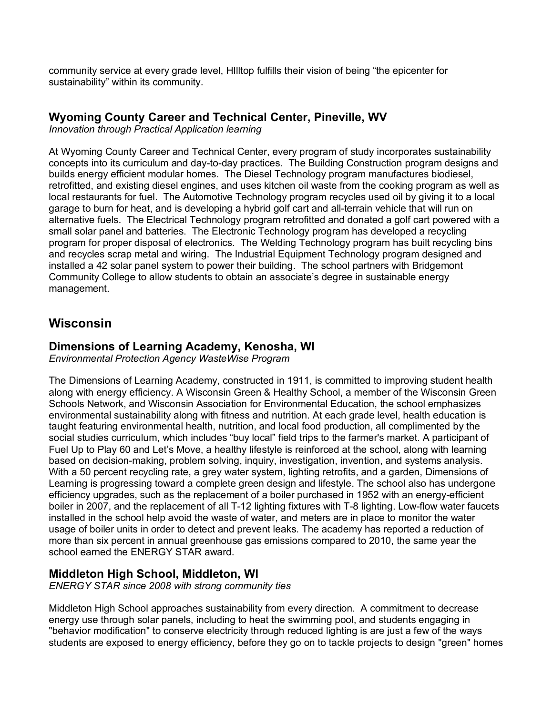community service at every grade level, HIlltop fulfills their vision of being "the epicenter for sustainability" within its community.

#### **Wyoming County Career and Technical Center, Pineville, WV**

*Innovation through Practical Application learning*

At Wyoming County Career and Technical Center, every program of study incorporates sustainability concepts into its curriculum and day-to-day practices. The Building Construction program designs and builds energy efficient modular homes. The Diesel Technology program manufactures biodiesel, retrofitted, and existing diesel engines, and uses kitchen oil waste from the cooking program as well as local restaurants for fuel. The Automotive Technology program recycles used oil by giving it to a local garage to burn for heat, and is developing a hybrid golf cart and all-terrain vehicle that will run on alternative fuels. The Electrical Technology program retrofitted and donated a golf cart powered with a small solar panel and batteries. The Electronic Technology program has developed a recycling program for proper disposal of electronics. The Welding Technology program has built recycling bins and recycles scrap metal and wiring. The Industrial Equipment Technology program designed and installed a 42 solar panel system to power their building. The school partners with Bridgemont Community College to allow students to obtain an associate's degree in sustainable energy management.

# **Wisconsin**

#### **Dimensions of Learning Academy, Kenosha, WI**

*Environmental Protection Agency WasteWise Program*

The Dimensions of Learning Academy, constructed in 1911, is committed to improving student health along with energy efficiency. A Wisconsin Green & Healthy School, a member of the Wisconsin Green Schools Network, and Wisconsin Association for Environmental Education, the school emphasizes environmental sustainability along with fitness and nutrition. At each grade level, health education is taught featuring environmental health, nutrition, and local food production, all complimented by the social studies curriculum, which includes "buy local" field trips to the farmer's market. A participant of Fuel Up to Play 60 and Let's Move, a healthy lifestyle is reinforced at the school, along with learning based on decision-making, problem solving, inquiry, investigation, invention, and systems analysis. With a 50 percent recycling rate, a grey water system, lighting retrofits, and a garden, Dimensions of Learning is progressing toward a complete green design and lifestyle. The school also has undergone efficiency upgrades, such as the replacement of a boiler purchased in 1952 with an energy-efficient boiler in 2007, and the replacement of all T-12 lighting fixtures with T-8 lighting. Low-flow water faucets installed in the school help avoid the waste of water, and meters are in place to monitor the water usage of boiler units in order to detect and prevent leaks. The academy has reported a reduction of more than six percent in annual greenhouse gas emissions compared to 2010, the same year the school earned the ENERGY STAR award.

#### **Middleton High School, Middleton, WI**

*ENERGY STAR since 2008 with strong community ties*

Middleton High School approaches sustainability from every direction. A commitment to decrease energy use through solar panels, including to heat the swimming pool, and students engaging in "behavior modification" to conserve electricity through reduced lighting is are just a few of the ways students are exposed to energy efficiency, before they go on to tackle projects to design "green" homes